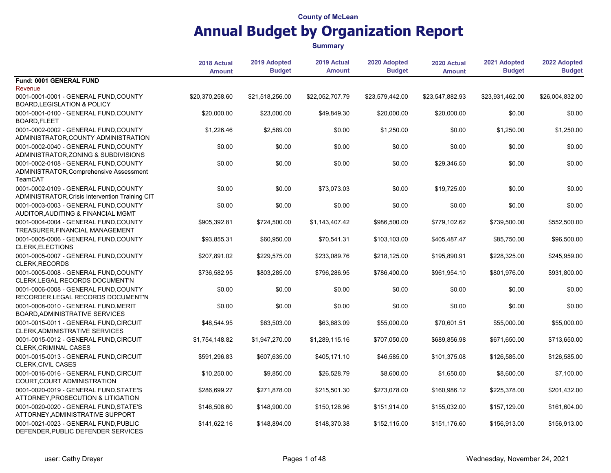|                                                                                            | 2018 Actual<br><b>Amount</b> | 2019 Adopted<br><b>Budget</b> | 2019 Actual<br><b>Amount</b> | 2020 Adopted<br><b>Budget</b> | 2020 Actual<br><b>Amount</b> | 2021 Adopted<br><b>Budget</b> | 2022 Adopted<br><b>Budget</b> |
|--------------------------------------------------------------------------------------------|------------------------------|-------------------------------|------------------------------|-------------------------------|------------------------------|-------------------------------|-------------------------------|
| Fund: 0001 GENERAL FUND<br>Revenue                                                         |                              |                               |                              |                               |                              |                               |                               |
| 0001-0001-0001 - GENERAL FUND, COUNTY<br><b>BOARD, LEGISLATION &amp; POLICY</b>            | \$20,370,258.60              | \$21,518,256.00               | \$22,052,707.79              | \$23,579,442.00               | \$23,547,882.93              | \$23,931,462.00               | \$26,004,832.00               |
| 0001-0001-0100 - GENERAL FUND, COUNTY<br>BOARD, FLEET                                      | \$20,000.00                  | \$23,000.00                   | \$49,849.30                  | \$20,000.00                   | \$20,000.00                  | \$0.00                        | \$0.00                        |
| 0001-0002-0002 - GENERAL FUND, COUNTY<br>ADMINISTRATOR, COUNTY ADMINISTRATION              | \$1,226.46                   | \$2,589.00                    | \$0.00                       | \$1,250.00                    | \$0.00                       | \$1,250.00                    | \$1,250.00                    |
| 0001-0002-0040 - GENERAL FUND, COUNTY<br>ADMINISTRATOR, ZONING & SUBDIVISIONS              | \$0.00                       | \$0.00                        | \$0.00                       | \$0.00                        | \$0.00                       | \$0.00                        | \$0.00                        |
| 0001-0002-0108 - GENERAL FUND.COUNTY<br>ADMINISTRATOR, Comprehensive Assessment<br>TeamCAT | \$0.00                       | \$0.00                        | \$0.00                       | \$0.00                        | \$29,346.50                  | \$0.00                        | \$0.00                        |
| 0001-0002-0109 - GENERAL FUND, COUNTY<br>ADMINISTRATOR, Crisis Intervention Training CIT   | \$0.00                       | \$0.00                        | \$73,073.03                  | \$0.00                        | \$19,725.00                  | \$0.00                        | \$0.00                        |
| 0001-0003-0003 - GENERAL FUND, COUNTY<br>AUDITOR, AUDITING & FINANCIAL MGMT                | \$0.00                       | \$0.00                        | \$0.00                       | \$0.00                        | \$0.00                       | \$0.00                        | \$0.00                        |
| 0001-0004-0004 - GENERAL FUND, COUNTY<br>TREASURER, FINANCIAL MANAGEMENT                   | \$905,392.81                 | \$724,500.00                  | \$1,143,407.42               | \$986,500.00                  | \$779,102.62                 | \$739,500.00                  | \$552,500.00                  |
| 0001-0005-0006 - GENERAL FUND, COUNTY<br><b>CLERK, ELECTIONS</b>                           | \$93,855.31                  | \$60,950.00                   | \$70,541.31                  | \$103,103.00                  | \$405,487.47                 | \$85,750.00                   | \$96,500.00                   |
| 0001-0005-0007 - GENERAL FUND, COUNTY<br>CLERK, RECORDS                                    | \$207,891.02                 | \$229,575.00                  | \$233,089.76                 | \$218,125.00                  | \$195,890.91                 | \$228,325.00                  | \$245,959.00                  |
| 0001-0005-0008 - GENERAL FUND, COUNTY<br>CLERK, LEGAL RECORDS DOCUMENT'N                   | \$736.582.95                 | \$803.285.00                  | \$796,286.95                 | \$786,400.00                  | \$961.954.10                 | \$801,976.00                  | \$931,800.00                  |
| 0001-0006-0008 - GENERAL FUND, COUNTY<br>RECORDER, LEGAL RECORDS DOCUMENT'N                | \$0.00                       | \$0.00                        | \$0.00                       | \$0.00                        | \$0.00                       | \$0.00                        | \$0.00                        |
| 0001-0008-0010 - GENERAL FUND MERIT<br>BOARD, ADMINISTRATIVE SERVICES                      | \$0.00                       | \$0.00                        | \$0.00                       | \$0.00                        | \$0.00                       | \$0.00                        | \$0.00                        |
| 0001-0015-0011 - GENERAL FUND.CIRCUIT<br>CLERK, ADMINISTRATIVE SERVICES                    | \$48,544.95                  | \$63,503.00                   | \$63,683.09                  | \$55,000.00                   | \$70,601.51                  | \$55,000.00                   | \$55,000.00                   |
| 0001-0015-0012 - GENERAL FUND, CIRCUIT<br><b>CLERK, CRIMINAL CASES</b>                     | \$1,754,148.82               | \$1,947,270.00                | \$1,289,115.16               | \$707,050.00                  | \$689,856.98                 | \$671,650.00                  | \$713,650.00                  |
| 0001-0015-0013 - GENERAL FUND, CIRCUIT<br>CLERK, CIVIL CASES                               | \$591.296.83                 | \$607,635.00                  | \$405,171.10                 | \$46,585.00                   | \$101.375.08                 | \$126,585.00                  | \$126.585.00                  |
| 0001-0016-0016 - GENERAL FUND, CIRCUIT<br>COURT, COURT ADMINISTRATION                      | \$10,250.00                  | \$9,850.00                    | \$26,528.79                  | \$8,600.00                    | \$1,650.00                   | \$8,600.00                    | \$7,100.00                    |
| 0001-0020-0019 - GENERAL FUND STATE'S<br>ATTORNEY, PROSECUTION & LITIGATION                | \$286,699.27                 | \$271,878.00                  | \$215,501.30                 | \$273,078.00                  | \$160,986.12                 | \$225,378.00                  | \$201,432.00                  |
| 0001-0020-0020 - GENERAL FUND.STATE'S<br>ATTORNEY, ADMINISTRATIVE SUPPORT                  | \$146,508.60                 | \$148,900.00                  | \$150,126.96                 | \$151,914.00                  | \$155,032.00                 | \$157,129.00                  | \$161,604.00                  |
| 0001-0021-0023 - GENERAL FUND, PUBLIC<br>DEFENDER, PUBLIC DEFENDER SERVICES                | \$141,622.16                 | \$148.894.00                  | \$148,370.38                 | \$152.115.00                  | \$151.176.60                 | \$156.913.00                  | \$156,913.00                  |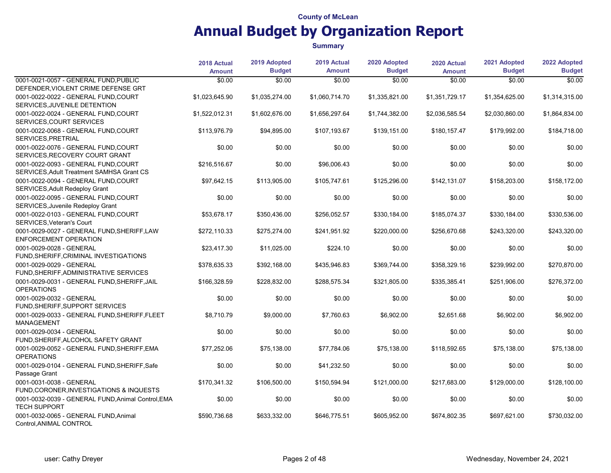|                                                                                  | 2018 Actual    | 2019 Adopted   | 2019 Actual    | 2020 Adopted   | 2020 Actual    | 2021 Adopted   | 2022 Adopted   |
|----------------------------------------------------------------------------------|----------------|----------------|----------------|----------------|----------------|----------------|----------------|
|                                                                                  | <b>Amount</b>  | <b>Budget</b>  | <b>Amount</b>  | <b>Budget</b>  | <b>Amount</b>  | <b>Budget</b>  | <b>Budget</b>  |
| 0001-0021-0057 - GENERAL FUND, PUBLIC                                            | \$0.00         | \$0.00         | \$0.00         | \$0.00         | \$0.00         | \$0.00         | \$0.00         |
| DEFENDER, VIOLENT CRIME DEFENSE GRT                                              |                |                |                |                |                |                |                |
| 0001-0022-0022 - GENERAL FUND, COURT<br>SERVICES, JUVENILE DETENTION             | \$1,023,645.90 | \$1,035,274.00 | \$1,060,714.70 | \$1,335,821.00 | \$1,351,729.17 | \$1,354,625.00 | \$1,314,315.00 |
| 0001-0022-0024 - GENERAL FUND, COURT<br>SERVICES, COURT SERVICES                 | \$1,522,012.31 | \$1,602,676.00 | \$1,656,297.64 | \$1,744,382.00 | \$2,036,585.54 | \$2,030,860.00 | \$1,864,834.00 |
| 0001-0022-0068 - GENERAL FUND, COURT<br>SERVICES, PRETRIAL                       | \$113.976.79   | \$94,895.00    | \$107,193.67   | \$139,151.00   | \$180,157.47   | \$179,992.00   | \$184,718.00   |
| 0001-0022-0076 - GENERAL FUND, COURT<br>SERVICES, RECOVERY COURT GRANT           | \$0.00         | \$0.00         | \$0.00         | \$0.00         | \$0.00         | \$0.00         | \$0.00         |
| 0001-0022-0093 - GENERAL FUND.COURT<br>SERVICES, Adult Treatment SAMHSA Grant CS | \$216,516.67   | \$0.00         | \$96,006.43    | \$0.00         | \$0.00         | \$0.00         | \$0.00         |
| 0001-0022-0094 - GENERAL FUND, COURT<br>SERVICES, Adult Redeploy Grant           | \$97,642.15    | \$113,905.00   | \$105,747.61   | \$125,296.00   | \$142,131.07   | \$158,203.00   | \$158,172.00   |
| 0001-0022-0095 - GENERAL FUND, COURT<br>SERVICES, Juvenile Redeploy Grant        | \$0.00         | \$0.00         | \$0.00         | \$0.00         | \$0.00         | \$0.00         | \$0.00         |
| 0001-0022-0103 - GENERAL FUND, COURT<br>SERVICES, Veteran's Court                | \$53.678.17    | \$350.436.00   | \$256,052.57   | \$330,184.00   | \$185,074.37   | \$330,184.00   | \$330,536.00   |
| 0001-0029-0027 - GENERAL FUND, SHERIFF, LAW<br><b>ENFORCEMENT OPERATION</b>      | \$272,110.33   | \$275,274.00   | \$241,951.92   | \$220,000.00   | \$256,670.68   | \$243,320.00   | \$243,320.00   |
| 0001-0029-0028 - GENERAL<br>FUND, SHERIFF, CRIMINAL INVESTIGATIONS               | \$23,417.30    | \$11,025.00    | \$224.10       | \$0.00         | \$0.00         | \$0.00         | \$0.00         |
| 0001-0029-0029 - GENERAL<br>FUND, SHERIFF, ADMINISTRATIVE SERVICES               | \$378,635.33   | \$392,168.00   | \$435,946.83   | \$369,744.00   | \$358,329.16   | \$239,992.00   | \$270,870.00   |
| 0001-0029-0031 - GENERAL FUND, SHERIFF, JAIL<br><b>OPERATIONS</b>                | \$166,328.59   | \$228,832.00   | \$288,575.34   | \$321,805.00   | \$335,385.41   | \$251,906.00   | \$276,372.00   |
| 0001-0029-0032 - GENERAL<br>FUND, SHERIFF, SUPPORT SERVICES                      | \$0.00         | \$0.00         | \$0.00         | \$0.00         | \$0.00         | \$0.00         | \$0.00         |
| 0001-0029-0033 - GENERAL FUND, SHERIFF, FLEET<br><b>MANAGEMENT</b>               | \$8,710.79     | \$9,000.00     | \$7,760.63     | \$6,902.00     | \$2,651.68     | \$6,902.00     | \$6,902.00     |
| 0001-0029-0034 - GENERAL<br>FUND, SHERIFF, ALCOHOL SAFETY GRANT                  | \$0.00         | \$0.00         | \$0.00         | \$0.00         | \$0.00         | \$0.00         | \$0.00         |
| 0001-0029-0052 - GENERAL FUND, SHERIFF, EMA<br><b>OPERATIONS</b>                 | \$77,252.06    | \$75,138.00    | \$77,784.06    | \$75,138.00    | \$118,592.65   | \$75,138.00    | \$75,138.00    |
| 0001-0029-0104 - GENERAL FUND, SHERIFF, Safe<br>Passage Grant                    | \$0.00         | \$0.00         | \$41,232.50    | \$0.00         | \$0.00         | \$0.00         | \$0.00         |
| 0001-0031-0038 - GENERAL<br>FUND, CORONER, INVESTIGATIONS & INQUESTS             | \$170,341.32   | \$106,500.00   | \$150,594.94   | \$121,000.00   | \$217,683.00   | \$129,000.00   | \$128,100.00   |
| 0001-0032-0039 - GENERAL FUND, Animal Control, EMA<br><b>TECH SUPPORT</b>        | \$0.00         | \$0.00         | \$0.00         | \$0.00         | \$0.00         | \$0.00         | \$0.00         |
| 0001-0032-0065 - GENERAL FUND, Animal<br>Control, ANIMAL CONTROL                 | \$590.736.68   | \$633,332.00   | \$646,775.51   | \$605,952.00   | \$674,802.35   | \$697,621.00   | \$730,032.00   |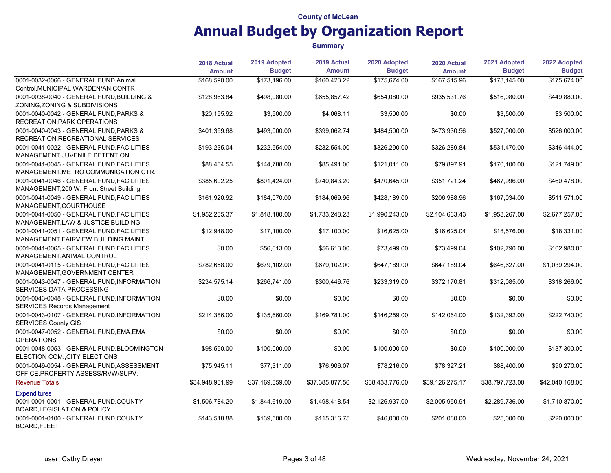|                                                                                       | 2018 Actual<br><b>Amount</b> | 2019 Adopted<br><b>Budget</b> | 2019 Actual<br><b>Amount</b> | 2020 Adopted<br><b>Budget</b> | 2020 Actual<br><b>Amount</b> | 2021 Adopted<br><b>Budget</b> | 2022 Adopted<br><b>Budget</b> |
|---------------------------------------------------------------------------------------|------------------------------|-------------------------------|------------------------------|-------------------------------|------------------------------|-------------------------------|-------------------------------|
| 0001-0032-0066 - GENERAL FUND, Animal                                                 | \$168,590.00                 | \$173,196.00                  | \$160,423.22                 | \$175,674.00                  | \$167.515.96                 | \$173,145.00                  | \$175,674.00                  |
| Control, MUNICIPAL WARDEN/AN.CONTR                                                    |                              |                               |                              |                               |                              |                               |                               |
| 0001-0038-0040 - GENERAL FUND, BUILDING &<br>ZONING, ZONING & SUBDIVISIONS            | \$128,963.84                 | \$498,080.00                  | \$655,857.42                 | \$654,080.00                  | \$935,531.76                 | \$516.080.00                  | \$449,880.00                  |
| 0001-0040-0042 - GENERAL FUND, PARKS &<br>RECREATION, PARK OPERATIONS                 | \$20,155.92                  | \$3,500.00                    | \$4,068.11                   | \$3,500.00                    | \$0.00                       | \$3,500.00                    | \$3,500.00                    |
| 0001-0040-0043 - GENERAL FUND, PARKS &<br>RECREATION, RECREATIONAL SERVICES           | \$401,359.68                 | \$493,000.00                  | \$399,062.74                 | \$484,500.00                  | \$473,930.56                 | \$527,000.00                  | \$526,000.00                  |
| 0001-0041-0022 - GENERAL FUND, FACILITIES<br>MANAGEMENT, JUVENILE DETENTION           | \$193,235.04                 | \$232,554.00                  | \$232,554.00                 | \$326,290.00                  | \$326,289.84                 | \$531,470.00                  | \$346,444.00                  |
| 0001-0041-0045 - GENERAL FUND, FACILITIES<br>MANAGEMENT, METRO COMMUNICATION CTR.     | \$88,484.55                  | \$144,788.00                  | \$85,491.06                  | \$121,011.00                  | \$79,897.91                  | \$170,100.00                  | \$121,749.00                  |
| 0001-0041-0046 - GENERAL FUND, FACILITIES<br>MANAGEMENT, 200 W. Front Street Building | \$385,602.25                 | \$801,424.00                  | \$740,843.20                 | \$470,645.00                  | \$351,721.24                 | \$467,996.00                  | \$460,478.00                  |
| 0001-0041-0049 - GENERAL FUND, FACILITIES<br>MANAGEMENT, COURTHOUSE                   | \$161,920.92                 | \$184,070.00                  | \$184,069.96                 | \$428,189.00                  | \$206,988.96                 | \$167,034.00                  | \$511,571.00                  |
| 0001-0041-0050 - GENERAL FUND FACILITIES<br>MANAGEMENT, LAW & JUSTICE BUILDING        | \$1,952,285.37               | \$1,818,180.00                | \$1,733,248.23               | \$1,990,243.00                | \$2,104,663.43               | \$1,953,267.00                | \$2,677,257.00                |
| 0001-0041-0051 - GENERAL FUND FACILITIES<br>MANAGEMENT, FAIRVIEW BUILDING MAINT.      | \$12,948.00                  | \$17,100.00                   | \$17,100.00                  | \$16,625.00                   | \$16,625.04                  | \$18,576.00                   | \$18,331.00                   |
| 0001-0041-0065 - GENERAL FUND, FACILITIES<br>MANAGEMENT, ANIMAL CONTROL               | \$0.00                       | \$56,613.00                   | \$56,613.00                  | \$73,499.00                   | \$73,499.04                  | \$102,790.00                  | \$102,980.00                  |
| 0001-0041-0115 - GENERAL FUND, FACILITIES<br>MANAGEMENT, GOVERNMENT CENTER            | \$782,658.00                 | \$679,102.00                  | \$679,102.00                 | \$647,189.00                  | \$647,189.04                 | \$646,627.00                  | \$1,039,294.00                |
| 0001-0043-0047 - GENERAL FUND, INFORMATION<br>SERVICES, DATA PROCESSING               | \$234,575.14                 | \$266,741.00                  | \$300,446.76                 | \$233,319.00                  | \$372,170.81                 | \$312,085.00                  | \$318,266.00                  |
| 0001-0043-0048 - GENERAL FUND, INFORMATION<br>SERVICES, Records Management            | \$0.00                       | \$0.00                        | \$0.00                       | \$0.00                        | \$0.00                       | \$0.00                        | \$0.00                        |
| 0001-0043-0107 - GENERAL FUND, INFORMATION<br>SERVICES, County GIS                    | \$214,386.00                 | \$135,660.00                  | \$169,781.00                 | \$146,259.00                  | \$142,064.00                 | \$132,392.00                  | \$222,740.00                  |
| 0001-0047-0052 - GENERAL FUND, EMA, EMA<br><b>OPERATIONS</b>                          | \$0.00                       | \$0.00                        | \$0.00                       | \$0.00                        | \$0.00                       | \$0.00                        | \$0.00                        |
| 0001-0048-0053 - GENERAL FUND.BLOOMINGTON<br>ELECTION COM., CITY ELECTIONS            | \$98.590.00                  | \$100.000.00                  | \$0.00                       | \$100,000.00                  | \$0.00                       | \$100.000.00                  | \$137,300.00                  |
| 0001-0049-0054 - GENERAL FUND.ASSESSMENT<br>OFFICE, PROPERTY ASSESS/RVW/SUPV.         | \$75,945.11                  | \$77,311.00                   | \$76,906.07                  | \$78,216.00                   | \$78,327.21                  | \$88,400.00                   | \$90,270.00                   |
| <b>Revenue Totals</b>                                                                 | \$34,948,981.99              | \$37,169,859.00               | \$37,385,877.56              | \$38,433,776.00               | \$39,126,275.17              | \$38,797,723.00               | \$42,040,168.00               |
| <b>Expenditures</b>                                                                   |                              |                               |                              |                               |                              |                               |                               |
| 0001-0001-0001 - GENERAL FUND, COUNTY<br><b>BOARD, LEGISLATION &amp; POLICY</b>       | \$1,506,784.20               | \$1,844,619.00                | \$1,498,418.54               | \$2,126,937.00                | \$2,005,950.91               | \$2,289,736.00                | \$1,710,870.00                |
| 0001-0001-0100 - GENERAL FUND, COUNTY<br><b>BOARD, FLEET</b>                          | \$143.518.88                 | \$139,500.00                  | \$115.316.75                 | \$46,000.00                   | \$201,080.00                 | \$25.000.00                   | \$220,000.00                  |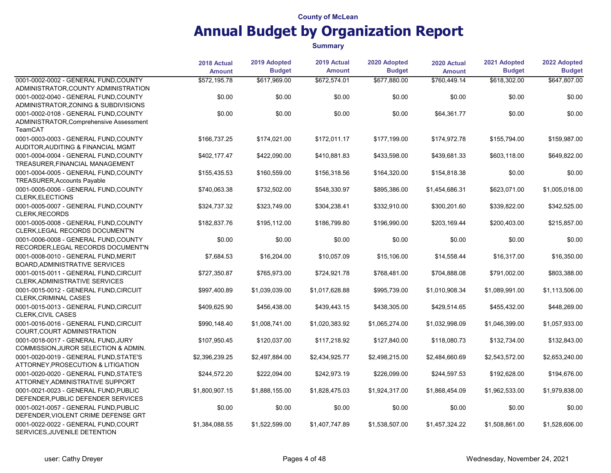|                                                                     | 2018 Actual    | 2019 Adopted   | 2019 Actual    | 2020 Adopted   | 2020 Actual    | 2021 Adopted   | 2022 Adopted   |
|---------------------------------------------------------------------|----------------|----------------|----------------|----------------|----------------|----------------|----------------|
|                                                                     | <b>Amount</b>  | <b>Budget</b>  | <b>Amount</b>  | <b>Budget</b>  | <b>Amount</b>  | <b>Budget</b>  | <b>Budget</b>  |
| 0001-0002-0002 - GENERAL FUND, COUNTY                               | \$572,195.78   | \$617,969.00   | \$672,574.01   | \$677,880.00   | \$760,449.14   | \$618,302.00   | \$647,807.00   |
| ADMINISTRATOR, COUNTY ADMINISTRATION                                |                |                |                |                |                |                |                |
| 0001-0002-0040 - GENERAL FUND, COUNTY                               | \$0.00         | \$0.00         | \$0.00         | \$0.00         | \$0.00         | \$0.00         | \$0.00         |
| ADMINISTRATOR, ZONING & SUBDIVISIONS                                |                |                |                |                |                |                |                |
| 0001-0002-0108 - GENERAL FUND, COUNTY                               | \$0.00         | \$0.00         | \$0.00         | \$0.00         | \$64,361.77    | \$0.00         | \$0.00         |
| ADMINISTRATOR, Comprehensive Assessment                             |                |                |                |                |                |                |                |
| TeamCAT                                                             |                |                |                |                |                |                |                |
| 0001-0003-0003 - GENERAL FUND, COUNTY                               | \$166,737.25   | \$174,021.00   | \$172,011.17   | \$177,199.00   | \$174,972.78   | \$155,794.00   | \$159,987.00   |
| AUDITOR, AUDITING & FINANCIAL MGMT                                  |                |                |                |                |                |                |                |
| 0001-0004-0004 - GENERAL FUND, COUNTY                               | \$402,177.47   | \$422,090.00   | \$410,881.83   | \$433,598.00   | \$439,681.33   | \$603,118.00   | \$649,822.00   |
| TREASURER, FINANCIAL MANAGEMENT                                     |                |                |                |                |                |                |                |
| 0001-0004-0005 - GENERAL FUND.COUNTY                                | \$155,435.53   | \$160,559.00   | \$156,318.56   | \$164,320.00   | \$154,818.38   | \$0.00         | \$0.00         |
| TREASURER, Accounts Payable                                         |                |                |                |                |                |                |                |
| 0001-0005-0006 - GENERAL FUND, COUNTY<br><b>CLERK, ELECTIONS</b>    | \$740,063.38   | \$732,502.00   | \$548,330.97   | \$895,386.00   | \$1,454,686.31 | \$623,071.00   | \$1,005,018.00 |
| 0001-0005-0007 - GENERAL FUND, COUNTY<br><b>CLERK, RECORDS</b>      | \$324,737.32   | \$323,749.00   | \$304,238.41   | \$332,910.00   | \$300,201.60   | \$339,822.00   | \$342,525.00   |
| 0001-0005-0008 - GENERAL FUND.COUNTY                                |                | \$195.112.00   |                |                | \$203.169.44   |                |                |
| CLERK, LEGAL RECORDS DOCUMENT'N                                     | \$182,837.76   |                | \$186,799.80   | \$196,990.00   |                | \$200,403.00   | \$215,857.00   |
| 0001-0006-0008 - GENERAL FUND, COUNTY                               | \$0.00         | \$0.00         | \$0.00         | \$0.00         | \$0.00         | \$0.00         | \$0.00         |
| RECORDER, LEGAL RECORDS DOCUMENT'N                                  |                |                |                |                |                |                |                |
| 0001-0008-0010 - GENERAL FUND, MERIT                                | \$7,684.53     | \$16,204.00    | \$10,057.09    | \$15,106.00    | \$14,558.44    | \$16,317.00    | \$16,350.00    |
| <b>BOARD, ADMINISTRATIVE SERVICES</b>                               |                |                |                |                |                |                |                |
| 0001-0015-0011 - GENERAL FUND.CIRCUIT                               | \$727,350.87   | \$765,973.00   | \$724,921.78   | \$768,481.00   | \$704,888.08   | \$791,002.00   | \$803,388.00   |
| CLERK, ADMINISTRATIVE SERVICES                                      |                |                |                |                |                |                |                |
| 0001-0015-0012 - GENERAL FUND, CIRCUIT                              | \$997,400.89   | \$1,039,039.00 | \$1,017,628.88 | \$995,739.00   | \$1,010,908.34 | \$1,089,991.00 | \$1,113,506.00 |
| <b>CLERK, CRIMINAL CASES</b>                                        |                |                |                |                |                |                |                |
| 0001-0015-0013 - GENERAL FUND, CIRCUIT<br><b>CLERK, CIVIL CASES</b> | \$409,625.90   | \$456,438.00   | \$439,443.15   | \$438,305.00   | \$429,514.65   | \$455,432.00   | \$448,269.00   |
| 0001-0016-0016 - GENERAL FUND, CIRCUIT                              | \$990,148.40   | \$1,008,741.00 | \$1,020,383.92 | \$1,065,274.00 | \$1,032,998.09 | \$1,046,399.00 | \$1,057,933.00 |
| COURT, COURT ADMINISTRATION                                         |                |                |                |                |                |                |                |
| 0001-0018-0017 - GENERAL FUND, JURY                                 | \$107,950.45   | \$120,037.00   | \$117,218.92   | \$127,840.00   | \$118,080.73   | \$132,734.00   | \$132,843.00   |
| COMMISSION, JUROR SELECTION & ADMIN.                                |                |                |                |                |                |                |                |
| 0001-0020-0019 - GENERAL FUND.STATE'S                               | \$2,396,239.25 | \$2,497,884.00 | \$2,434,925.77 | \$2,498,215.00 | \$2,484,660.69 | \$2,543,572.00 | \$2,653,240.00 |
| ATTORNEY, PROSECUTION & LITIGATION                                  |                |                |                |                |                |                |                |
| 0001-0020-0020 - GENERAL FUND, STATE'S                              | \$244,572.20   | \$222,094.00   | \$242,973.19   | \$226,099.00   | \$244,597.53   | \$192,628.00   | \$194,676.00   |
| ATTORNEY, ADMINISTRATIVE SUPPORT                                    |                |                |                |                |                |                |                |
| 0001-0021-0023 - GENERAL FUND.PUBLIC                                | \$1,800,907.15 | \$1,888,155.00 | \$1,828,475.03 | \$1,924,317.00 | \$1,868,454.09 | \$1,962,533.00 | \$1,979,838.00 |
| DEFENDER, PUBLIC DEFENDER SERVICES                                  |                |                |                |                |                |                |                |
| 0001-0021-0057 - GENERAL FUND.PUBLIC                                | \$0.00         | \$0.00         | \$0.00         | \$0.00         | \$0.00         | \$0.00         | \$0.00         |
| DEFENDER, VIOLENT CRIME DEFENSE GRT                                 |                |                |                |                |                |                |                |
| 0001-0022-0022 - GENERAL FUND, COURT                                | \$1,384,088.55 | \$1,522,599.00 | \$1,407,747.89 | \$1,538,507.00 | \$1,457,324.22 | \$1,508,861.00 | \$1,528,606.00 |
| SERVICES, JUVENILE DETENTION                                        |                |                |                |                |                |                |                |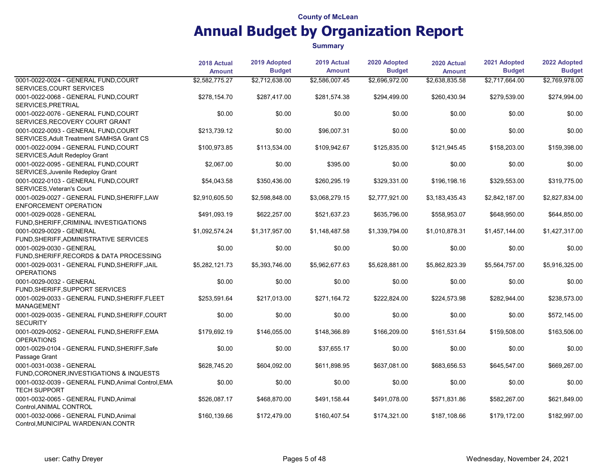|                                                                                   | 2018 Actual    | 2019 Adopted   | 2019 Actual    | 2020 Adopted   | 2020 Actual    | 2021 Adopted   | 2022 Adopted   |
|-----------------------------------------------------------------------------------|----------------|----------------|----------------|----------------|----------------|----------------|----------------|
|                                                                                   | <b>Amount</b>  | <b>Budget</b>  | <b>Amount</b>  | <b>Budget</b>  | <b>Amount</b>  | <b>Budget</b>  | <b>Budget</b>  |
| 0001-0022-0024 - GENERAL FUND, COURT<br>SERVICES, COURT SERVICES                  | \$2,582,775.27 | \$2,712,638.00 | \$2,586,007.45 | \$2,696,972.00 | \$2,638,835.58 | \$2,717,664.00 | \$2,769,978.00 |
| 0001-0022-0068 - GENERAL FUND, COURT<br>SERVICES, PRETRIAL                        | \$278,154.70   | \$287,417.00   | \$281,574.38   | \$294,499.00   | \$260,430.94   | \$279,539.00   | \$274,994.00   |
| 0001-0022-0076 - GENERAL FUND, COURT<br>SERVICES, RECOVERY COURT GRANT            | \$0.00         | \$0.00         | \$0.00         | \$0.00         | \$0.00         | \$0.00         | \$0.00         |
| 0001-0022-0093 - GENERAL FUND, COURT<br>SERVICES, Adult Treatment SAMHSA Grant CS | \$213,739.12   | \$0.00         | \$96,007.31    | \$0.00         | \$0.00         | \$0.00         | \$0.00         |
| 0001-0022-0094 - GENERAL FUND, COURT<br>SERVICES, Adult Redeploy Grant            | \$100,973.85   | \$113,534.00   | \$109,942.67   | \$125,835.00   | \$121,945.45   | \$158,203.00   | \$159,398.00   |
| 0001-0022-0095 - GENERAL FUND.COURT<br>SERVICES, Juvenile Redeploy Grant          | \$2,067.00     | \$0.00         | \$395.00       | \$0.00         | \$0.00         | \$0.00         | \$0.00         |
| 0001-0022-0103 - GENERAL FUND.COURT<br>SERVICES, Veteran's Court                  | \$54,043.58    | \$350,436.00   | \$260,295.19   | \$329,331.00   | \$196,198.16   | \$329,553.00   | \$319,775.00   |
| 0001-0029-0027 - GENERAL FUND, SHERIFF, LAW<br><b>ENFORCEMENT OPERATION</b>       | \$2,910,605.50 | \$2,598,848.00 | \$3,068,279.15 | \$2,777,921.00 | \$3,183,435.43 | \$2,842,187.00 | \$2,827,834.00 |
| 0001-0029-0028 - GENERAL<br>FUND, SHERIFF, CRIMINAL INVESTIGATIONS                | \$491,093.19   | \$622,257.00   | \$521,637.23   | \$635,796.00   | \$558,953.07   | \$648,950.00   | \$644,850.00   |
| 0001-0029-0029 - GENERAL<br>FUND, SHERIFF, ADMINISTRATIVE SERVICES                | \$1,092,574.24 | \$1,317,957.00 | \$1,148,487.58 | \$1,339,794.00 | \$1,010,878.31 | \$1,457,144.00 | \$1,427,317.00 |
| 0001-0029-0030 - GENERAL<br>FUND, SHERIFF, RECORDS & DATA PROCESSING              | \$0.00         | \$0.00         | \$0.00         | \$0.00         | \$0.00         | \$0.00         | \$0.00         |
| 0001-0029-0031 - GENERAL FUND, SHERIFF, JAIL<br><b>OPERATIONS</b>                 | \$5,282,121.73 | \$5,393,746.00 | \$5,962,677.63 | \$5,628,881.00 | \$5,862,823.39 | \$5,564,757.00 | \$5,916,325.00 |
| 0001-0029-0032 - GENERAL<br>FUND, SHERIFF, SUPPORT SERVICES                       | \$0.00         | \$0.00         | \$0.00         | \$0.00         | \$0.00         | \$0.00         | \$0.00         |
| 0001-0029-0033 - GENERAL FUND, SHERIFF, FLEET<br><b>MANAGEMENT</b>                | \$253,591.64   | \$217,013.00   | \$271,164.72   | \$222,824.00   | \$224,573.98   | \$282,944.00   | \$238,573.00   |
| 0001-0029-0035 - GENERAL FUND, SHERIFF, COURT<br><b>SECURITY</b>                  | \$0.00         | \$0.00         | \$0.00         | \$0.00         | \$0.00         | \$0.00         | \$572,145.00   |
| 0001-0029-0052 - GENERAL FUND, SHERIFF, EMA<br><b>OPERATIONS</b>                  | \$179.692.19   | \$146.055.00   | \$148.366.89   | \$166.209.00   | \$161.531.64   | \$159.508.00   | \$163,506.00   |
| 0001-0029-0104 - GENERAL FUND, SHERIFF, Safe<br>Passage Grant                     | \$0.00         | \$0.00         | \$37,655.17    | \$0.00         | \$0.00         | \$0.00         | \$0.00         |
| 0001-0031-0038 - GENERAL<br>FUND, CORONER, INVESTIGATIONS & INQUESTS              | \$628,745.20   | \$604,092.00   | \$611.898.95   | \$637.081.00   | \$683.656.53   | \$645,547.00   | \$669,267.00   |
| 0001-0032-0039 - GENERAL FUND, Animal Control, EMA<br><b>TECH SUPPORT</b>         | \$0.00         | \$0.00         | \$0.00         | \$0.00         | \$0.00         | \$0.00         | \$0.00         |
| 0001-0032-0065 - GENERAL FUND, Animal<br>Control, ANIMAL CONTROL                  | \$526,087.17   | \$468,870.00   | \$491,158.44   | \$491,078.00   | \$571,831.86   | \$582,267.00   | \$621,849.00   |
| 0001-0032-0066 - GENERAL FUND, Animal<br>Control, MUNICIPAL WARDEN/AN.CONTR       | \$160,139.66   | \$172,479.00   | \$160,407.54   | \$174,321.00   | \$187,108.66   | \$179,172.00   | \$182,997.00   |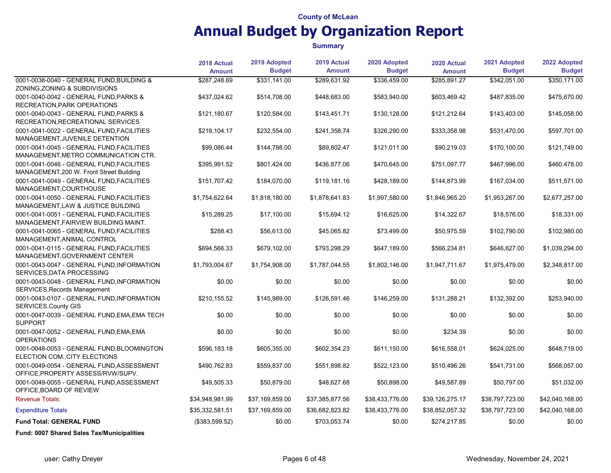#### **Summary**

|                                                                                       | 2018 Actual<br><b>Amount</b> | 2019 Adopted<br><b>Budget</b> | 2019 Actual<br><b>Amount</b> | 2020 Adopted<br><b>Budget</b> | 2020 Actual<br><b>Amount</b> | 2021 Adopted<br><b>Budget</b> | 2022 Adopted<br><b>Budget</b> |
|---------------------------------------------------------------------------------------|------------------------------|-------------------------------|------------------------------|-------------------------------|------------------------------|-------------------------------|-------------------------------|
| 0001-0038-0040 - GENERAL FUND, BUILDING &<br>ZONING, ZONING & SUBDIVISIONS            | \$287,248.69                 | \$331,141.00                  | \$289,631.92                 | \$336,459.00                  | \$285,891.27                 | \$342,051.00                  | \$350,171.00                  |
| 0001-0040-0042 - GENERAL FUND, PARKS &<br>RECREATION, PARK OPERATIONS                 | \$437,024.62                 | \$514,708.00                  | \$448,683.00                 | \$583,940.00                  | \$603,469.42                 | \$487,835.00                  | \$475,670.00                  |
| 0001-0040-0043 - GENERAL FUND, PARKS &<br>RECREATION, RECREATIONAL SERVICES           | \$121,180.67                 | \$120,584.00                  | \$143,451.71                 | \$130,128.00                  | \$121,212.64                 | \$143,403.00                  | \$145,058.00                  |
| 0001-0041-0022 - GENERAL FUND, FACILITIES<br>MANAGEMENT, JUVENILE DETENTION           | \$219,104.17                 | \$232,554.00                  | \$241,358.74                 | \$326,290.00                  | \$333,358.98                 | \$531,470.00                  | \$597,701.00                  |
| 0001-0041-0045 - GENERAL FUND, FACILITIES<br>MANAGEMENT, METRO COMMUNICATION CTR.     | \$99,086.44                  | \$144,788.00                  | \$89,802.47                  | \$121,011.00                  | \$90,219.03                  | \$170,100.00                  | \$121,749.00                  |
| 0001-0041-0046 - GENERAL FUND, FACILITIES<br>MANAGEMENT, 200 W. Front Street Building | \$395,991.52                 | \$801,424.00                  | \$436,877.06                 | \$470,645.00                  | \$751,097.77                 | \$467,996.00                  | \$460,478.00                  |
| 0001-0041-0049 - GENERAL FUND, FACILITIES<br>MANAGEMENT, COURTHOUSE                   | \$151,707.42                 | \$184,070.00                  | \$119,181.16                 | \$428,189.00                  | \$144,873.99                 | \$167,034.00                  | \$511,571.00                  |
| 0001-0041-0050 - GENERAL FUND FACILITIES<br>MANAGEMENT, LAW & JUSTICE BUILDING        | \$1,754,622.64               | \$1,818,180.00                | \$1,878,641.83               | \$1,997,580.00                | \$1,846,965.20               | \$1,953,267.00                | \$2,677,257.00                |
| 0001-0041-0051 - GENERAL FUND FACILITIES<br>MANAGEMENT FAIRVIEW BUILDING MAINT.       | \$15,289.25                  | \$17,100.00                   | \$15,694.12                  | \$16,625.00                   | \$14,322.67                  | \$18,576.00                   | \$18,331.00                   |
| 0001-0041-0065 - GENERAL FUND FACILITIES<br>MANAGEMENT, ANIMAL CONTROL                | \$288.43                     | \$56,613.00                   | \$45.065.82                  | \$73,499.00                   | \$50.975.59                  | \$102,790.00                  | \$102,980.00                  |
| 0001-0041-0115 - GENERAL FUND, FACILITIES<br>MANAGEMENT, GOVERNMENT CENTER            | \$694,566.33                 | \$679,102.00                  | \$793,298.29                 | \$647,189.00                  | \$566,234.81                 | \$646,627.00                  | \$1,039,294.00                |
| 0001-0043-0047 - GENERAL FUND, INFORMATION<br>SERVICES, DATA PROCESSING               | \$1,793,004.67               | \$1,754,908.00                | \$1,787,044.55               | \$1,802,146.00                | \$1,947,711.67               | \$1,975,479.00                | \$2,348,817.00                |
| 0001-0043-0048 - GENERAL FUND, INFORMATION<br>SERVICES, Records Management            | \$0.00                       | \$0.00                        | \$0.00                       | \$0.00                        | \$0.00                       | \$0.00                        | \$0.00                        |
| 0001-0043-0107 - GENERAL FUND, INFORMATION<br>SERVICES, County GIS                    | \$210,155.52                 | \$145,989.00                  | \$126,591.46                 | \$146,259.00                  | \$131,288.21                 | \$132,392.00                  | \$253,940.00                  |
| 0001-0047-0039 - GENERAL FUND, EMA, EMA TECH<br><b>SUPPORT</b>                        | \$0.00                       | \$0.00                        | \$0.00                       | \$0.00                        | \$0.00                       | \$0.00                        | \$0.00                        |
| 0001-0047-0052 - GENERAL FUND, EMA, EMA<br><b>OPERATIONS</b>                          | \$0.00                       | \$0.00                        | \$0.00                       | \$0.00                        | \$234.39                     | \$0.00                        | \$0.00                        |
| 0001-0048-0053 - GENERAL FUND, BLOOMINGTON<br>ELECTION COM., CITY ELECTIONS           | \$596,183.18                 | \$605,355.00                  | \$602,354.23                 | \$611,150.00                  | \$616,558.01                 | \$624,025.00                  | \$648,719.00                  |
| 0001-0049-0054 - GENERAL FUND, ASSESSMENT<br>OFFICE, PROPERTY ASSESS/RVW/SUPV.        | \$490,762.83                 | \$559,837.00                  | \$551,898.82                 | \$522,123.00                  | \$510,496.26                 | \$541,731.00                  | \$568,057.00                  |
| 0001-0049-0055 - GENERAL FUND, ASSESSMENT<br>OFFICE, BOARD OF REVIEW                  | \$49,505.33                  | \$50,879.00                   | \$48,627.68                  | \$50,898.00                   | \$49,587.89                  | \$50,797.00                   | \$51,032.00                   |
| <b>Revenue Totals:</b>                                                                | \$34,948,981.99              | \$37,169,859.00               | \$37,385,877.56              | \$38,433,776.00               | \$39,126,275.17              | \$38,797,723.00               | \$42,040,168.00               |
| <b>Expenditure Totals</b>                                                             | \$35,332,581.51              | \$37,169,859.00               | \$36,682,823.82              | \$38,433,776.00               | \$38,852,057.32              | \$38,797,723.00               | \$42,040,168.00               |
| <b>Fund Total: GENERAL FUND</b>                                                       | (\$383,599.52)               | \$0.00                        | \$703,053.74                 | \$0.00                        | \$274,217.85                 | \$0.00                        | \$0.00                        |

Fund: 0007 Shared Sales Tax/Municipalities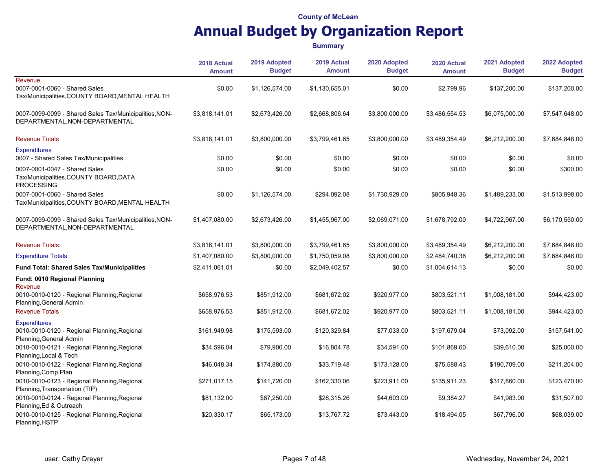|                                                                                                | 2018 Actual<br><b>Amount</b> | 2019 Adopted<br><b>Budget</b> | 2019 Actual<br><b>Amount</b> | 2020 Adopted<br><b>Budget</b> | 2020 Actual<br><b>Amount</b> | 2021 Adopted<br><b>Budget</b> | 2022 Adopted<br><b>Budget</b> |
|------------------------------------------------------------------------------------------------|------------------------------|-------------------------------|------------------------------|-------------------------------|------------------------------|-------------------------------|-------------------------------|
| Revenue<br>0007-0001-0060 - Shared Sales<br>Tax/Municipalities, COUNTY BOARD, MENTAL HEALTH    | \$0.00                       | \$1,126,574.00                | \$1,130,655.01               | \$0.00                        | \$2,799.96                   | \$137,200.00                  | \$137,200.00                  |
| 0007-0099-0099 - Shared Sales Tax/Municipalities, NON-<br>DEPARTMENTAL, NON-DEPARTMENTAL       | \$3,818,141.01               | \$2,673,426.00                | \$2,668,806.64               | \$3,800,000.00                | \$3,486,554.53               | \$6,075,000.00                | \$7,547,648.00                |
| <b>Revenue Totals</b>                                                                          | \$3,818,141.01               | \$3,800,000.00                | \$3,799,461.65               | \$3,800,000.00                | \$3,489,354.49               | \$6,212,200.00                | \$7,684,848.00                |
| <b>Expenditures</b><br>0007 - Shared Sales Tax/Municipalities                                  | \$0.00                       | \$0.00                        | \$0.00                       | \$0.00                        | \$0.00                       | \$0.00                        | \$0.00                        |
| 0007-0001-0047 - Shared Sales<br>Tax/Municipalities, COUNTY BOARD, DATA<br><b>PROCESSING</b>   | \$0.00                       | \$0.00                        | \$0.00                       | \$0.00                        | \$0.00                       | \$0.00                        | \$300.00                      |
| 0007-0001-0060 - Shared Sales<br>Tax/Municipalities, COUNTY BOARD, MENTAL HEALTH               | \$0.00                       | \$1,126,574.00                | \$294,092.08                 | \$1,730,929.00                | \$805,948.36                 | \$1,489,233.00                | \$1,513,998.00                |
| 0007-0099-0099 - Shared Sales Tax/Municipalities, NON-<br>DEPARTMENTAL, NON-DEPARTMENTAL       | \$1,407,080.00               | \$2,673,426.00                | \$1,455,967.00               | \$2,069,071.00                | \$1,678,792.00               | \$4,722,967.00                | \$6,170,550.00                |
| <b>Revenue Totals:</b>                                                                         | \$3,818,141.01               | \$3,800,000.00                | \$3,799,461.65               | \$3,800,000.00                | \$3,489,354.49               | \$6,212,200.00                | \$7,684,848.00                |
| <b>Expenditure Totals</b>                                                                      | \$1,407,080.00               | \$3,800,000.00                | \$1,750,059.08               | \$3,800,000.00                | \$2,484,740.36               | \$6,212,200.00                | \$7,684,848.00                |
| Fund Total: Shared Sales Tax/Municipalities                                                    | \$2,411,061.01               | \$0.00                        | \$2,049,402.57               | \$0.00                        | \$1,004,614.13               | \$0.00                        | \$0.00                        |
| Fund: 0010 Regional Planning<br>Revenue                                                        |                              |                               |                              |                               |                              |                               |                               |
| 0010-0010-0120 - Regional Planning, Regional<br>Planning, General Admin                        | \$658,976.53                 | \$851,912.00                  | \$681,672.02                 | \$920,977.00                  | \$803,521.11                 | \$1,008,181.00                | \$944,423.00                  |
| <b>Revenue Totals</b>                                                                          | \$658,976.53                 | \$851,912.00                  | \$681,672.02                 | \$920,977.00                  | \$803,521.11                 | \$1,008,181.00                | \$944,423.00                  |
| <b>Expenditures</b><br>0010-0010-0120 - Regional Planning, Regional<br>Planning, General Admin | \$161,949.98                 | \$175,593.00                  | \$120,329.84                 | \$77,033.00                   | \$197,679.04                 | \$73,092.00                   | \$157,541.00                  |
| 0010-0010-0121 - Regional Planning, Regional<br>Planning, Local & Tech                         | \$34,596.04                  | \$79,900.00                   | \$16,804.78                  | \$34,591.00                   | \$101,869.60                 | \$39,610.00                   | \$25,000.00                   |
| 0010-0010-0122 - Regional Planning, Regional<br>Planning, Comp Plan                            | \$46,048.34                  | \$174,880.00                  | \$33,719.48                  | \$173,128.00                  | \$75,588.43                  | \$190,709.00                  | \$211,204.00                  |
| 0010-0010-0123 - Regional Planning, Regional<br>Planning, Transportation (TIP)                 | \$271,017.15                 | \$141,720.00                  | \$162,330.06                 | \$223,911.00                  | \$135,911.23                 | \$317,860.00                  | \$123,470.00                  |
| 0010-0010-0124 - Regional Planning, Regional<br>Planning, Ed & Outreach                        | \$81,132.00                  | \$67,250.00                   | \$28,315.26                  | \$44,603.00                   | \$9,384.27                   | \$41,983.00                   | \$31,507.00                   |
| 0010-0010-0125 - Regional Planning, Regional<br>Planning, HSTP                                 | \$20,330.17                  | \$65,173.00                   | \$13,767.72                  | \$73,443.00                   | \$18,494.05                  | \$67,796.00                   | \$68,039.00                   |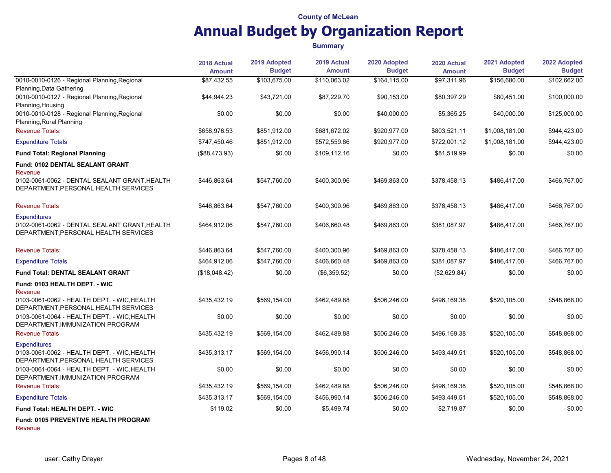|                                                                                                              | 2018 Actual<br><b>Amount</b> | 2019 Adopted<br><b>Budget</b> | 2019 Actual<br><b>Amount</b> | 2020 Adopted<br><b>Budget</b> | 2020 Actual<br><b>Amount</b> | 2021 Adopted<br><b>Budget</b> | 2022 Adopted<br><b>Budget</b> |
|--------------------------------------------------------------------------------------------------------------|------------------------------|-------------------------------|------------------------------|-------------------------------|------------------------------|-------------------------------|-------------------------------|
| 0010-0010-0126 - Regional Planning, Regional<br>Planning, Data Gathering                                     | \$87,432.55                  | \$103,675.00                  | \$110,063.02                 | \$164,115.00                  | \$97,311.96                  | \$156,680.00                  | \$102,662.00                  |
| 0010-0010-0127 - Regional Planning, Regional<br>Planning, Housing                                            | \$44,944.23                  | \$43,721.00                   | \$87,229.70                  | \$90,153.00                   | \$80,397.29                  | \$80,451.00                   | \$100,000.00                  |
| 0010-0010-0128 - Regional Planning, Regional<br>Planning, Rural Planning                                     | \$0.00                       | \$0.00                        | \$0.00                       | \$40,000.00                   | \$5,365.25                   | \$40,000.00                   | \$125,000.00                  |
| <b>Revenue Totals:</b>                                                                                       | \$658,976.53                 | \$851,912.00                  | \$681,672.02                 | \$920,977.00                  | \$803,521.11                 | \$1,008,181.00                | \$944,423.00                  |
| <b>Expenditure Totals</b>                                                                                    | \$747,450.46                 | \$851,912.00                  | \$572,559.86                 | \$920,977.00                  | \$722,001.12                 | \$1,008,181.00                | \$944,423.00                  |
| <b>Fund Total: Regional Planning</b>                                                                         | (\$88,473.93)                | \$0.00                        | \$109,112.16                 | \$0.00                        | \$81,519.99                  | \$0.00                        | \$0.00                        |
| Fund: 0102 DENTAL SEALANT GRANT<br>Revenue                                                                   |                              |                               |                              |                               |                              |                               |                               |
| 0102-0061-0062 - DENTAL SEALANT GRANT, HEALTH<br>DEPARTMENT, PERSONAL HEALTH SERVICES                        | \$446,863.64                 | \$547,760.00                  | \$400,300.96                 | \$469,863.00                  | \$378,458.13                 | \$486,417.00                  | \$466,767.00                  |
| <b>Revenue Totals</b>                                                                                        | \$446,863.64                 | \$547,760.00                  | \$400,300.96                 | \$469,863.00                  | \$378,458.13                 | \$486,417.00                  | \$466,767.00                  |
| <b>Expenditures</b><br>0102-0061-0062 - DENTAL SEALANT GRANT, HEALTH<br>DEPARTMENT, PERSONAL HEALTH SERVICES | \$464,912.06                 | \$547,760.00                  | \$406,660.48                 | \$469,863.00                  | \$381,087.97                 | \$486,417.00                  | \$466,767.00                  |
| <b>Revenue Totals:</b>                                                                                       | \$446,863.64                 | \$547,760.00                  | \$400,300.96                 | \$469,863.00                  | \$378,458.13                 | \$486,417.00                  | \$466,767.00                  |
| <b>Expenditure Totals</b>                                                                                    | \$464,912.06                 | \$547,760.00                  | \$406,660.48                 | \$469,863.00                  | \$381.087.97                 | \$486,417.00                  | \$466,767.00                  |
| <b>Fund Total: DENTAL SEALANT GRANT</b>                                                                      | (\$18,048.42)                | \$0.00                        | (\$6,359.52)                 | \$0.00                        | (\$2,629.84)                 | \$0.00                        | \$0.00                        |
| Fund: 0103 HEALTH DEPT. - WIC<br>Revenue                                                                     |                              |                               |                              |                               |                              |                               |                               |
| 0103-0061-0062 - HEALTH DEPT. - WIC, HEALTH<br>DEPARTMENT, PERSONAL HEALTH SERVICES                          | \$435,432.19                 | \$569,154.00                  | \$462,489.88                 | \$506,246.00                  | \$496,169.38                 | \$520,105.00                  | \$548,868.00                  |
| 0103-0061-0064 - HEALTH DEPT. - WIC, HEALTH<br>DEPARTMENT, IMMUNIZATION PROGRAM                              | \$0.00                       | \$0.00                        | \$0.00                       | \$0.00                        | \$0.00                       | \$0.00                        | \$0.00                        |
| <b>Revenue Totals</b>                                                                                        | \$435,432.19                 | \$569,154.00                  | \$462,489.88                 | \$506,246.00                  | \$496,169.38                 | \$520,105.00                  | \$548,868.00                  |
| <b>Expenditures</b><br>0103-0061-0062 - HEALTH DEPT. - WIC, HEALTH<br>DEPARTMENT, PERSONAL HEALTH SERVICES   | \$435,313.17                 | \$569,154.00                  | \$456,990.14                 | \$506,246.00                  | \$493,449.51                 | \$520,105.00                  | \$548,868.00                  |
| 0103-0061-0064 - HEALTH DEPT. - WIC, HEALTH<br>DEPARTMENT, IMMUNIZATION PROGRAM                              | \$0.00                       | \$0.00                        | \$0.00                       | \$0.00                        | \$0.00                       | \$0.00                        | \$0.00                        |
| <b>Revenue Totals:</b>                                                                                       | \$435,432.19                 | \$569,154.00                  | \$462,489.88                 | \$506,246.00                  | \$496,169.38                 | \$520,105.00                  | \$548,868.00                  |
| <b>Expenditure Totals</b>                                                                                    | \$435,313.17                 | \$569,154.00                  | \$456,990.14                 | \$506,246.00                  | \$493,449.51                 | \$520,105.00                  | \$548,868.00                  |
| Fund Total: HEALTH DEPT. - WIC                                                                               | \$119.02                     | \$0.00                        | \$5,499.74                   | \$0.00                        | \$2,719.87                   | \$0.00                        | \$0.00                        |
| Fund: 0105 PREVENTIVE HEALTH PROGRAM<br>Revenue                                                              |                              |                               |                              |                               |                              |                               |                               |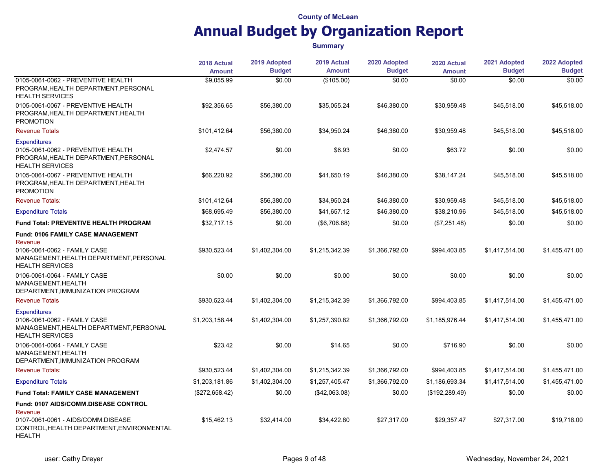|                                                                                                                                                          | 2018 Actual    | 2019 Adopted   | 2019 Actual    | 2020 Adopted   | 2020 Actual     | 2021 Adopted   | 2022 Adopted<br><b>Budget</b> |
|----------------------------------------------------------------------------------------------------------------------------------------------------------|----------------|----------------|----------------|----------------|-----------------|----------------|-------------------------------|
|                                                                                                                                                          | <b>Amount</b>  | <b>Budget</b>  | <b>Amount</b>  | <b>Budget</b>  | <b>Amount</b>   | <b>Budget</b>  |                               |
| 0105-0061-0062 - PREVENTIVE HEALTH<br>PROGRAM, HEALTH DEPARTMENT, PERSONAL<br><b>HEALTH SERVICES</b>                                                     | \$9,055.99     | \$0.00         | (\$105.00)     | \$0.00         | \$0.00          | \$0.00         | \$0.00                        |
| 0105-0061-0067 - PREVENTIVE HEALTH<br>PROGRAM, HEALTH DEPARTMENT, HEALTH<br><b>PROMOTION</b>                                                             | \$92,356.65    | \$56,380.00    | \$35,055.24    | \$46,380.00    | \$30,959.48     | \$45,518.00    | \$45,518.00                   |
| <b>Revenue Totals</b>                                                                                                                                    | \$101,412.64   | \$56,380.00    | \$34,950.24    | \$46,380.00    | \$30,959.48     | \$45,518.00    | \$45,518.00                   |
| <b>Expenditures</b><br>0105-0061-0062 - PREVENTIVE HEALTH<br>PROGRAM, HEALTH DEPARTMENT, PERSONAL<br><b>HEALTH SERVICES</b>                              | \$2,474.57     | \$0.00         | \$6.93         | \$0.00         | \$63.72         | \$0.00         | \$0.00                        |
| 0105-0061-0067 - PREVENTIVE HEALTH<br>PROGRAM, HEALTH DEPARTMENT, HEALTH<br><b>PROMOTION</b>                                                             | \$66,220.92    | \$56,380.00    | \$41,650.19    | \$46,380.00    | \$38,147.24     | \$45,518.00    | \$45,518.00                   |
| <b>Revenue Totals:</b>                                                                                                                                   | \$101,412.64   | \$56,380.00    | \$34,950.24    | \$46,380.00    | \$30,959.48     | \$45,518.00    | \$45,518.00                   |
| <b>Expenditure Totals</b>                                                                                                                                | \$68,695.49    | \$56,380.00    | \$41,657.12    | \$46,380.00    | \$38,210.96     | \$45,518.00    | \$45,518.00                   |
| <b>Fund Total: PREVENTIVE HEALTH PROGRAM</b>                                                                                                             | \$32,717.15    | \$0.00         | (\$6,706.88)   | \$0.00         | (\$7,251.48)    | \$0.00         | \$0.00                        |
| <b>Fund: 0106 FAMILY CASE MANAGEMENT</b><br>Revenue<br>0106-0061-0062 - FAMILY CASE<br>MANAGEMENT, HEALTH DEPARTMENT, PERSONAL<br><b>HEALTH SERVICES</b> | \$930,523.44   | \$1,402,304.00 | \$1,215,342.39 | \$1,366,792.00 | \$994,403.85    | \$1,417,514.00 | \$1,455,471.00                |
| 0106-0061-0064 - FAMILY CASE<br>MANAGEMENT, HEALTH<br>DEPARTMENT, IMMUNIZATION PROGRAM                                                                   | \$0.00         | \$0.00         | \$0.00         | \$0.00         | \$0.00          | \$0.00         | \$0.00                        |
| <b>Revenue Totals</b>                                                                                                                                    | \$930,523.44   | \$1,402,304.00 | \$1,215,342.39 | \$1,366,792.00 | \$994,403.85    | \$1,417,514.00 | \$1,455,471.00                |
| <b>Expenditures</b><br>0106-0061-0062 - FAMILY CASE<br>MANAGEMENT, HEALTH DEPARTMENT, PERSONAL<br><b>HEALTH SERVICES</b>                                 | \$1,203,158.44 | \$1,402,304.00 | \$1,257,390.82 | \$1,366,792.00 | \$1,185,976.44  | \$1,417,514.00 | \$1,455,471.00                |
| 0106-0061-0064 - FAMILY CASE<br>MANAGEMENT, HEALTH<br>DEPARTMENT, IMMUNIZATION PROGRAM                                                                   | \$23.42        | \$0.00         | \$14.65        | \$0.00         | \$716.90        | \$0.00         | \$0.00                        |
| <b>Revenue Totals:</b>                                                                                                                                   | \$930,523.44   | \$1,402,304.00 | \$1,215,342.39 | \$1,366,792.00 | \$994,403.85    | \$1,417,514.00 | \$1,455,471.00                |
| <b>Expenditure Totals</b>                                                                                                                                | \$1,203,181.86 | \$1,402,304.00 | \$1,257,405.47 | \$1,366,792.00 | \$1,186,693.34  | \$1,417,514.00 | \$1,455,471.00                |
| <b>Fund Total: FAMILY CASE MANAGEMENT</b>                                                                                                                | (\$272,658.42) | \$0.00         | (\$42,063.08)  | \$0.00         | (\$192, 289.49) | \$0.00         | \$0.00                        |
| Fund: 0107 AIDS/COMM.DISEASE CONTROL<br>Revenue<br>0107-0061-0061 - AIDS/COMM.DISEASE                                                                    | \$15,462.13    | \$32,414.00    | \$34,422.80    | \$27,317.00    | \$29,357.47     | \$27,317.00    | \$19,718.00                   |
| CONTROL, HEALTH DEPARTMENT, ENVIRONMENTAL<br><b>HEALTH</b>                                                                                               |                |                |                |                |                 |                |                               |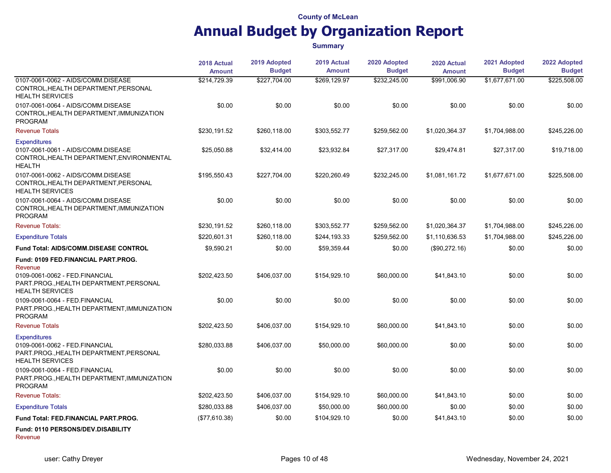|                                                                                                                            | 2018 Actual   | 2019 Adopted  | 2019 Actual   | 2020 Adopted  | 2020 Actual    | 2021 Adopted   | 2022 Adopted<br><b>Budget</b> |
|----------------------------------------------------------------------------------------------------------------------------|---------------|---------------|---------------|---------------|----------------|----------------|-------------------------------|
|                                                                                                                            | <b>Amount</b> | <b>Budget</b> | <b>Amount</b> | <b>Budget</b> | <b>Amount</b>  | <b>Budget</b>  |                               |
| 0107-0061-0062 - AIDS/COMM.DISEASE<br>CONTROL, HEALTH DEPARTMENT, PERSONAL<br><b>HEALTH SERVICES</b>                       | \$214.729.39  | \$227.704.00  | \$269.129.97  | \$232.245.00  | \$991.006.90   | \$1.677.671.00 | \$225.508.00                  |
| 0107-0061-0064 - AIDS/COMM.DISEASE<br>CONTROL, HEALTH DEPARTMENT, IMMUNIZATION<br><b>PROGRAM</b>                           | \$0.00        | \$0.00        | \$0.00        | \$0.00        | \$0.00         | \$0.00         | \$0.00                        |
| <b>Revenue Totals</b>                                                                                                      | \$230,191.52  | \$260,118.00  | \$303,552.77  | \$259,562.00  | \$1,020,364.37 | \$1,704,988.00 | \$245,226.00                  |
| <b>Expenditures</b><br>0107-0061-0061 - AIDS/COMM.DISEASE<br>CONTROL, HEALTH DEPARTMENT, ENVIRONMENTAL<br><b>HEALTH</b>    | \$25,050.88   | \$32,414.00   | \$23,932.84   | \$27,317.00   | \$29,474.81    | \$27,317.00    | \$19,718.00                   |
| 0107-0061-0062 - AIDS/COMM.DISEASE<br>CONTROL, HEALTH DEPARTMENT, PERSONAL<br><b>HEALTH SERVICES</b>                       | \$195,550.43  | \$227,704.00  | \$220,260.49  | \$232,245.00  | \$1,081,161.72 | \$1,677,671.00 | \$225,508.00                  |
| 0107-0061-0064 - AIDS/COMM.DISEASE<br>CONTROL, HEALTH DEPARTMENT, IMMUNIZATION<br><b>PROGRAM</b>                           | \$0.00        | \$0.00        | \$0.00        | \$0.00        | \$0.00         | \$0.00         | \$0.00                        |
| <b>Revenue Totals:</b>                                                                                                     | \$230,191.52  | \$260,118.00  | \$303,552.77  | \$259,562.00  | \$1,020,364.37 | \$1,704,988.00 | \$245,226.00                  |
| <b>Expenditure Totals</b>                                                                                                  | \$220,601.31  | \$260,118.00  | \$244,193.33  | \$259,562.00  | \$1,110,636.53 | \$1,704,988.00 | \$245,226.00                  |
| <b>Fund Total: AIDS/COMM.DISEASE CONTROL</b>                                                                               | \$9,590.21    | \$0.00        | \$59,359.44   | \$0.00        | (\$90,272.16)  | \$0.00         | \$0.00                        |
| Fund: 0109 FED.FINANCIAL PART.PROG.<br>Revenue                                                                             |               |               |               |               |                |                |                               |
| 0109-0061-0062 - FED.FINANCIAL<br>PART.PROG., HEALTH DEPARTMENT, PERSONAL<br><b>HEALTH SERVICES</b>                        | \$202,423.50  | \$406,037.00  | \$154,929.10  | \$60,000.00   | \$41,843.10    | \$0.00         | \$0.00                        |
| 0109-0061-0064 - FED.FINANCIAL<br>PART.PROG., HEALTH DEPARTMENT, IMMUNIZATION<br><b>PROGRAM</b>                            | \$0.00        | \$0.00        | \$0.00        | \$0.00        | \$0.00         | \$0.00         | \$0.00                        |
| <b>Revenue Totals</b>                                                                                                      | \$202,423.50  | \$406,037.00  | \$154,929.10  | \$60,000.00   | \$41,843.10    | \$0.00         | \$0.00                        |
| <b>Expenditures</b><br>0109-0061-0062 - FED.FINANCIAL<br>PART.PROG., HEALTH DEPARTMENT, PERSONAL<br><b>HEALTH SERVICES</b> | \$280,033.88  | \$406,037.00  | \$50,000.00   | \$60,000.00   | \$0.00         | \$0.00         | \$0.00                        |
| 0109-0061-0064 - FED.FINANCIAL<br>PART.PROG., HEALTH DEPARTMENT, IMMUNIZATION<br><b>PROGRAM</b>                            | \$0.00        | \$0.00        | \$0.00        | \$0.00        | \$0.00         | \$0.00         | \$0.00                        |
| <b>Revenue Totals:</b>                                                                                                     | \$202,423.50  | \$406,037.00  | \$154,929.10  | \$60,000.00   | \$41,843.10    | \$0.00         | \$0.00                        |
| <b>Expenditure Totals</b>                                                                                                  | \$280,033.88  | \$406,037.00  | \$50,000.00   | \$60,000.00   | \$0.00         | \$0.00         | \$0.00                        |
| Fund Total: FED.FINANCIAL PART.PROG.                                                                                       | (\$77,610.38) | \$0.00        | \$104,929.10  | \$0.00        | \$41,843.10    | \$0.00         | \$0.00                        |
| Fund: 0110 PERSONS/DEV.DISABILITY<br>Revenue                                                                               |               |               |               |               |                |                |                               |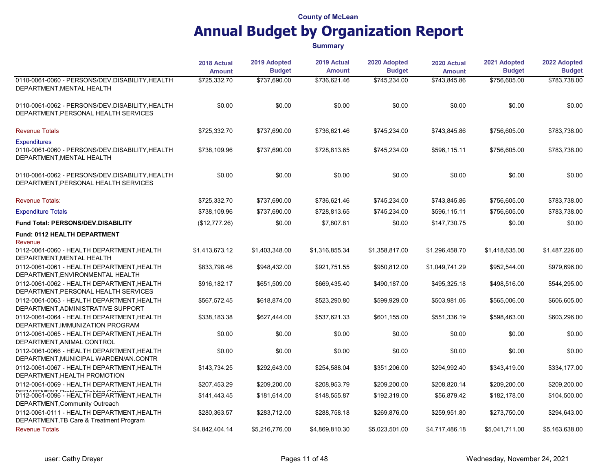|                                                                                                     | 2018 Actual    | 2019 Adopted   | 2019 Actual    | 2020 Adopted   | 2020 Actual<br><b>Amount</b> | 2021 Adopted<br><b>Budget</b> | 2022 Adopted<br><b>Budget</b> |
|-----------------------------------------------------------------------------------------------------|----------------|----------------|----------------|----------------|------------------------------|-------------------------------|-------------------------------|
|                                                                                                     | <b>Amount</b>  | <b>Budget</b>  | <b>Amount</b>  | <b>Budget</b>  |                              |                               |                               |
| 0110-0061-0060 - PERSONS/DEV.DISABILITY, HEALTH<br>DEPARTMENT, MENTAL HEALTH                        | \$725,332.70   | \$737,690.00   | \$736,621.46   | \$745,234.00   | \$743,845.86                 | \$756,605.00                  | \$783,738.00                  |
| 0110-0061-0062 - PERSONS/DEV.DISABILITY, HEALTH<br>DEPARTMENT, PERSONAL HEALTH SERVICES             | \$0.00         | \$0.00         | \$0.00         | \$0.00         | \$0.00                       | \$0.00                        | \$0.00                        |
| <b>Revenue Totals</b>                                                                               | \$725,332.70   | \$737,690.00   | \$736,621.46   | \$745,234.00   | \$743,845.86                 | \$756,605.00                  | \$783,738.00                  |
| <b>Expenditures</b><br>0110-0061-0060 - PERSONS/DEV.DISABILITY, HEALTH<br>DEPARTMENT, MENTAL HEALTH | \$738,109.96   | \$737,690.00   | \$728,813.65   | \$745,234.00   | \$596,115.11                 | \$756,605.00                  | \$783,738.00                  |
| 0110-0061-0062 - PERSONS/DEV.DISABILITY, HEALTH<br>DEPARTMENT, PERSONAL HEALTH SERVICES             | \$0.00         | \$0.00         | \$0.00         | \$0.00         | \$0.00                       | \$0.00                        | \$0.00                        |
| <b>Revenue Totals:</b>                                                                              | \$725,332.70   | \$737,690.00   | \$736,621.46   | \$745,234.00   | \$743,845.86                 | \$756,605.00                  | \$783,738.00                  |
| <b>Expenditure Totals</b>                                                                           | \$738,109.96   | \$737,690.00   | \$728,813.65   | \$745,234.00   | \$596,115.11                 | \$756,605.00                  | \$783,738.00                  |
| <b>Fund Total: PERSONS/DEV.DISABILITY</b>                                                           | (\$12,777.26)  | \$0.00         | \$7,807.81     | \$0.00         | \$147,730.75                 | \$0.00                        | \$0.00                        |
| Fund: 0112 HEALTH DEPARTMENT<br>Revenue                                                             |                |                |                |                |                              |                               |                               |
| 0112-0061-0060 - HEALTH DEPARTMENT, HEALTH<br>DEPARTMENT, MENTAL HEALTH                             | \$1,413,673.12 | \$1,403,348.00 | \$1,316,855.34 | \$1,358,817.00 | \$1,296,458.70               | \$1,418,635.00                | \$1,487,226.00                |
| 0112-0061-0061 - HEALTH DEPARTMENT, HEALTH<br>DEPARTMENT, ENVIRONMENTAL HEALTH                      | \$833,798.46   | \$948,432.00   | \$921,751.55   | \$950,812.00   | \$1,049,741.29               | \$952,544.00                  | \$979,696.00                  |
| 0112-0061-0062 - HEALTH DEPARTMENT, HEALTH<br>DEPARTMENT, PERSONAL HEALTH SERVICES                  | \$916,182.17   | \$651,509.00   | \$669,435.40   | \$490,187.00   | \$495,325.18                 | \$498,516.00                  | \$544,295.00                  |
| 0112-0061-0063 - HEALTH DEPARTMENT HEALTH<br>DEPARTMENT, ADMINISTRATIVE SUPPORT                     | \$567,572.45   | \$618,874.00   | \$523,290.80   | \$599,929.00   | \$503,981.06                 | \$565,006.00                  | \$606,605.00                  |
| 0112-0061-0064 - HEALTH DEPARTMENT, HEALTH<br>DEPARTMENT, IMMUNIZATION PROGRAM                      | \$338,183.38   | \$627,444.00   | \$537,621.33   | \$601,155.00   | \$551,336.19                 | \$598,463.00                  | \$603,296.00                  |
| 0112-0061-0065 - HEALTH DEPARTMENT, HEALTH<br>DEPARTMENT, ANIMAL CONTROL                            | \$0.00         | \$0.00         | \$0.00         | \$0.00         | \$0.00                       | \$0.00                        | \$0.00                        |
| 0112-0061-0066 - HEALTH DEPARTMENT, HEALTH<br>DEPARTMENT, MUNICIPAL WARDEN/AN.CONTR                 | \$0.00         | \$0.00         | \$0.00         | \$0.00         | \$0.00                       | \$0.00                        | \$0.00                        |
| 0112-0061-0067 - HEALTH DEPARTMENT, HEALTH<br>DEPARTMENT, HEALTH PROMOTION                          | \$143,734.25   | \$292,643.00   | \$254,588.04   | \$351,206.00   | \$294,992.40                 | \$343,419.00                  | \$334,177.00                  |
| 0112-0061-0069 - HEALTH DEPARTMENT.HEALTH                                                           | \$207,453.29   | \$209,200.00   | \$208,953.79   | \$209,200.00   | \$208,820.14                 | \$209,200.00                  | \$209,200.00                  |
| 0112-0061-0096 - HEALTH DEPARTMENT, HEALTH<br>DEPARTMENT, Community Outreach                        | \$141,443.45   | \$181,614.00   | \$148,555.87   | \$192,319.00   | \$56,879.42                  | \$182,178.00                  | \$104,500.00                  |
| 0112-0061-0111 - HEALTH DEPARTMENT, HEALTH<br>DEPARTMENT, TB Care & Treatment Program               | \$280,363.57   | \$283,712.00   | \$288,758.18   | \$269,876.00   | \$259,951.80                 | \$273,750.00                  | \$294,643.00                  |
| <b>Revenue Totals</b>                                                                               | \$4,842,404.14 | \$5,216,776.00 | \$4,869,810.30 | \$5,023,501.00 | \$4,717,486.18               | \$5,041,711.00                | \$5,163,638.00                |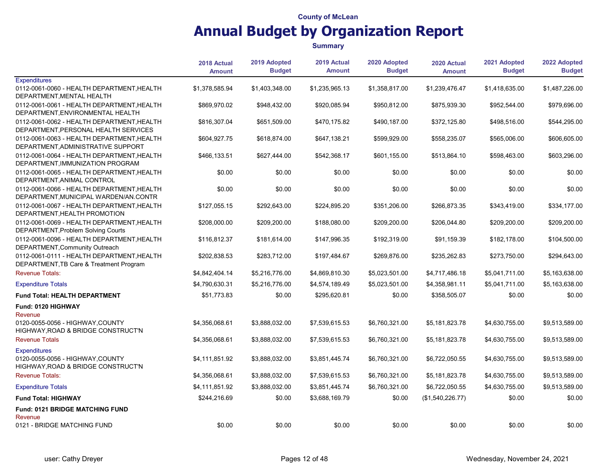|                                                                                       | 2018 Actual<br>Amount | 2019 Adopted<br><b>Budget</b> | 2019 Actual<br><b>Amount</b> | 2020 Adopted<br><b>Budget</b> | 2020 Actual<br><b>Amount</b> | 2021 Adopted<br><b>Budget</b> | 2022 Adopted<br><b>Budget</b> |
|---------------------------------------------------------------------------------------|-----------------------|-------------------------------|------------------------------|-------------------------------|------------------------------|-------------------------------|-------------------------------|
| <b>Expenditures</b>                                                                   |                       |                               |                              |                               |                              |                               |                               |
| 0112-0061-0060 - HEALTH DEPARTMENT, HEALTH<br>DEPARTMENT, MENTAL HEALTH               | \$1,378,585.94        | \$1,403,348.00                | \$1,235,965.13               | \$1,358,817.00                | \$1,239,476.47               | \$1,418,635.00                | \$1,487,226.00                |
| 0112-0061-0061 - HEALTH DEPARTMENT HEALTH<br>DEPARTMENT, ENVIRONMENTAL HEALTH         | \$869,970.02          | \$948,432.00                  | \$920,085.94                 | \$950,812.00                  | \$875,939.30                 | \$952,544.00                  | \$979,696.00                  |
| 0112-0061-0062 - HEALTH DEPARTMENT, HEALTH<br>DEPARTMENT, PERSONAL HEALTH SERVICES    | \$816,307.04          | \$651,509.00                  | \$470,175.82                 | \$490,187.00                  | \$372,125.80                 | \$498,516.00                  | \$544,295.00                  |
| 0112-0061-0063 - HEALTH DEPARTMENT, HEALTH<br>DEPARTMENT, ADMINISTRATIVE SUPPORT      | \$604,927.75          | \$618,874.00                  | \$647,138.21                 | \$599,929.00                  | \$558,235.07                 | \$565,006.00                  | \$606,605.00                  |
| 0112-0061-0064 - HEALTH DEPARTMENT, HEALTH<br>DEPARTMENT, IMMUNIZATION PROGRAM        | \$466,133.51          | \$627,444.00                  | \$542,368.17                 | \$601,155.00                  | \$513,864.10                 | \$598,463.00                  | \$603,296.00                  |
| 0112-0061-0065 - HEALTH DEPARTMENT, HEALTH<br>DEPARTMENT, ANIMAL CONTROL              | \$0.00                | \$0.00                        | \$0.00                       | \$0.00                        | \$0.00                       | \$0.00                        | \$0.00                        |
| 0112-0061-0066 - HEALTH DEPARTMENT, HEALTH<br>DEPARTMENT, MUNICIPAL WARDEN/AN.CONTR   | \$0.00                | \$0.00                        | \$0.00                       | \$0.00                        | \$0.00                       | \$0.00                        | \$0.00                        |
| 0112-0061-0067 - HEALTH DEPARTMENT, HEALTH<br>DEPARTMENT, HEALTH PROMOTION            | \$127,055.15          | \$292,643.00                  | \$224,895.20                 | \$351,206.00                  | \$266,873.35                 | \$343,419.00                  | \$334,177.00                  |
| 0112-0061-0069 - HEALTH DEPARTMENT, HEALTH<br>DEPARTMENT, Problem Solving Courts      | \$208,000.00          | \$209,200.00                  | \$188,080.00                 | \$209,200.00                  | \$206,044.80                 | \$209,200.00                  | \$209,200.00                  |
| 0112-0061-0096 - HEALTH DEPARTMENT, HEALTH<br>DEPARTMENT, Community Outreach          | \$116,812.37          | \$181,614.00                  | \$147,996.35                 | \$192,319.00                  | \$91,159.39                  | \$182,178.00                  | \$104,500.00                  |
| 0112-0061-0111 - HEALTH DEPARTMENT, HEALTH<br>DEPARTMENT, TB Care & Treatment Program | \$202,838.53          | \$283,712.00                  | \$197,484.67                 | \$269,876.00                  | \$235,262.83                 | \$273,750.00                  | \$294,643.00                  |
| <b>Revenue Totals:</b>                                                                | \$4,842,404.14        | \$5,216,776.00                | \$4,869,810.30               | \$5,023,501.00                | \$4,717,486.18               | \$5,041,711.00                | \$5,163,638.00                |
| <b>Expenditure Totals</b>                                                             | \$4,790,630.31        | \$5,216,776.00                | \$4,574,189.49               | \$5,023,501.00                | \$4,358,981.11               | \$5,041,711.00                | \$5,163,638.00                |
| Fund Total: HEALTH DEPARTMENT                                                         | \$51,773.83           | \$0.00                        | \$295,620.81                 | \$0.00                        | \$358,505.07                 | \$0.00                        | \$0.00                        |
| Fund: 0120 HIGHWAY<br>Revenue                                                         |                       |                               |                              |                               |                              |                               |                               |
| 0120-0055-0056 - HIGHWAY, COUNTY<br>HIGHWAY, ROAD & BRIDGE CONSTRUCT'N                | \$4,356,068.61        | \$3,888,032.00                | \$7,539,615.53               | \$6,760,321.00                | \$5,181,823.78               | \$4,630,755.00                | \$9,513,589.00                |
| <b>Revenue Totals</b>                                                                 | \$4,356,068.61        | \$3,888,032.00                | \$7,539,615.53               | \$6,760,321.00                | \$5,181,823.78               | \$4,630,755.00                | \$9,513,589.00                |
| <b>Expenditures</b>                                                                   |                       |                               |                              |                               |                              |                               |                               |
| 0120-0055-0056 - HIGHWAY, COUNTY<br>HIGHWAY, ROAD & BRIDGE CONSTRUCT'N                | \$4,111,851.92        | \$3,888,032.00                | \$3,851,445.74               | \$6,760,321.00                | \$6,722,050.55               | \$4,630,755.00                | \$9,513,589.00                |
| <b>Revenue Totals:</b>                                                                | \$4,356,068.61        | \$3,888,032.00                | \$7,539,615.53               | \$6,760,321.00                | \$5,181,823.78               | \$4,630,755.00                | \$9,513,589.00                |
| <b>Expenditure Totals</b>                                                             | \$4,111,851.92        | \$3,888,032.00                | \$3,851,445.74               | \$6,760,321.00                | \$6,722,050.55               | \$4,630,755.00                | \$9,513,589.00                |
| <b>Fund Total: HIGHWAY</b>                                                            | \$244,216.69          | \$0.00                        | \$3,688,169.79               | \$0.00                        | (\$1,540,226.77)             | \$0.00                        | \$0.00                        |
| Fund: 0121 BRIDGE MATCHING FUND                                                       |                       |                               |                              |                               |                              |                               |                               |
| Revenue<br>0121 - BRIDGE MATCHING FUND                                                | \$0.00                | \$0.00                        | \$0.00                       | \$0.00                        | \$0.00                       | \$0.00                        | \$0.00                        |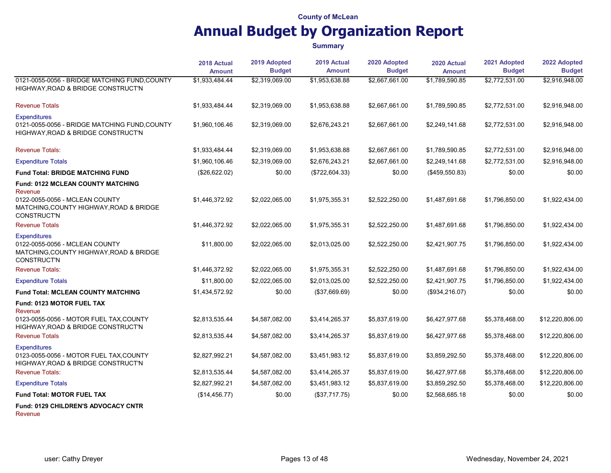|                                                                                                                                                        | 2018 Actual<br><b>Amount</b> | 2019 Adopted<br><b>Budget</b> | 2019 Actual<br><b>Amount</b> | 2020 Adopted<br><b>Budget</b> | 2020 Actual<br><b>Amount</b> | 2021 Adopted<br><b>Budget</b> | 2022 Adopted<br><b>Budget</b> |
|--------------------------------------------------------------------------------------------------------------------------------------------------------|------------------------------|-------------------------------|------------------------------|-------------------------------|------------------------------|-------------------------------|-------------------------------|
| 0121-0055-0056 - BRIDGE MATCHING FUND, COUNTY<br>HIGHWAY, ROAD & BRIDGE CONSTRUCT'N                                                                    | \$1.933.484.44               | \$2,319,069.00                | \$1,953,638.88               | \$2,667,661.00                | \$1,789,590.85               | \$2,772,531.00                | \$2,916,948.00                |
| <b>Revenue Totals</b>                                                                                                                                  | \$1,933,484.44               | \$2,319,069.00                | \$1,953,638.88               | \$2,667,661.00                | \$1,789,590.85               | \$2,772,531.00                | \$2,916,948.00                |
| <b>Expenditures</b><br>0121-0055-0056 - BRIDGE MATCHING FUND, COUNTY<br>HIGHWAY, ROAD & BRIDGE CONSTRUCT'N                                             | \$1,960,106.46               | \$2,319,069.00                | \$2,676,243.21               | \$2,667,661.00                | \$2,249,141.68               | \$2,772,531.00                | \$2,916,948.00                |
| <b>Revenue Totals:</b>                                                                                                                                 | \$1,933,484.44               | \$2,319,069.00                | \$1,953,638.88               | \$2,667,661.00                | \$1,789,590.85               | \$2,772,531.00                | \$2,916,948.00                |
| <b>Expenditure Totals</b>                                                                                                                              | \$1,960,106.46               | \$2,319,069.00                | \$2,676,243.21               | \$2,667,661.00                | \$2,249,141.68               | \$2,772,531.00                | \$2,916,948.00                |
| <b>Fund Total: BRIDGE MATCHING FUND</b>                                                                                                                | (\$26,622.02)                | \$0.00                        | (\$722,604.33)               | \$0.00                        | (\$459,550.83)               | \$0.00                        | \$0.00                        |
| <b>Fund: 0122 MCLEAN COUNTY MATCHING</b><br>Revenue<br>0122-0055-0056 - MCLEAN COUNTY<br>MATCHING, COUNTY HIGHWAY, ROAD & BRIDGE<br><b>CONSTRUCT'N</b> | \$1,446,372.92               | \$2,022,065.00                | \$1,975,355.31               | \$2,522,250.00                | \$1,487,691.68               | \$1,796,850.00                | \$1,922,434.00                |
| <b>Revenue Totals</b>                                                                                                                                  | \$1,446,372.92               | \$2,022,065.00                | \$1,975,355.31               | \$2,522,250.00                | \$1,487,691.68               | \$1,796,850.00                | \$1,922,434.00                |
| <b>Expenditures</b><br>0122-0055-0056 - MCLEAN COUNTY<br>MATCHING, COUNTY HIGHWAY, ROAD & BRIDGE<br><b>CONSTRUCT'N</b>                                 | \$11,800.00                  | \$2,022,065.00                | \$2,013,025.00               | \$2,522,250.00                | \$2,421,907.75               | \$1,796,850.00                | \$1,922,434.00                |
| <b>Revenue Totals:</b>                                                                                                                                 | \$1,446,372.92               | \$2,022,065.00                | \$1,975,355.31               | \$2,522,250.00                | \$1,487,691.68               | \$1,796,850.00                | \$1,922,434.00                |
| <b>Expenditure Totals</b>                                                                                                                              | \$11,800.00                  | \$2,022,065.00                | \$2,013,025.00               | \$2,522,250.00                | \$2,421,907.75               | \$1,796,850.00                | \$1,922,434.00                |
| <b>Fund Total: MCLEAN COUNTY MATCHING</b>                                                                                                              | \$1,434,572.92               | \$0.00                        | (\$37,669.69)                | \$0.00                        | (\$934, 216.07)              | \$0.00                        | \$0.00                        |
| <b>Fund: 0123 MOTOR FUEL TAX</b>                                                                                                                       |                              |                               |                              |                               |                              |                               |                               |
| Revenue<br>0123-0055-0056 - MOTOR FUEL TAX, COUNTY<br>HIGHWAY, ROAD & BRIDGE CONSTRUCT'N                                                               | \$2,813,535.44               | \$4,587,082.00                | \$3,414,265.37               | \$5,837,619.00                | \$6,427,977.68               | \$5,378,468.00                | \$12,220,806.00               |
| <b>Revenue Totals</b>                                                                                                                                  | \$2,813,535.44               | \$4,587,082.00                | \$3,414,265.37               | \$5,837,619.00                | \$6,427,977.68               | \$5,378,468.00                | \$12,220,806.00               |
| <b>Expenditures</b><br>0123-0055-0056 - MOTOR FUEL TAX, COUNTY<br>HIGHWAY, ROAD & BRIDGE CONSTRUCT'N                                                   | \$2,827,992.21               | \$4,587,082.00                | \$3,451,983.12               | \$5,837,619.00                | \$3,859,292.50               | \$5,378,468.00                | \$12,220,806.00               |
| <b>Revenue Totals:</b>                                                                                                                                 | \$2,813,535.44               | \$4,587,082.00                | \$3,414,265.37               | \$5,837,619.00                | \$6,427,977.68               | \$5,378,468.00                | \$12,220,806.00               |
| <b>Expenditure Totals</b>                                                                                                                              | \$2,827,992.21               | \$4,587,082.00                | \$3,451,983.12               | \$5,837,619.00                | \$3,859,292.50               | \$5,378,468.00                | \$12,220,806.00               |
| <b>Fund Total: MOTOR FUEL TAX</b>                                                                                                                      | (\$14,456.77)                | \$0.00                        | (\$37,717.75)                | \$0.00                        | \$2,568,685.18               | \$0.00                        | \$0.00                        |
| <b>Fund: 0129 CHILDREN'S ADVOCACY CNTR</b><br>Revenue                                                                                                  |                              |                               |                              |                               |                              |                               |                               |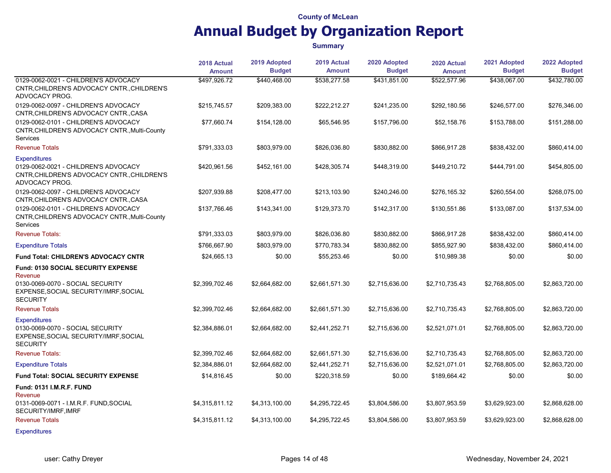|                                                                                                                              | 2018 Actual    | 2019 Adopted   | 2019 Actual    | 2020 Adopted   | 2020 Actual    | 2021 Adopted   | 2022 Adopted<br><b>Budget</b> |
|------------------------------------------------------------------------------------------------------------------------------|----------------|----------------|----------------|----------------|----------------|----------------|-------------------------------|
|                                                                                                                              | <b>Amount</b>  | <b>Budget</b>  | <b>Amount</b>  | <b>Budget</b>  | <b>Amount</b>  | <b>Budget</b>  |                               |
| 0129-0062-0021 - CHILDREN'S ADVOCACY<br>CNTR, CHILDREN'S ADVOCACY CNTR., CHILDREN'S<br>ADVOCACY PROG.                        | \$497,926.72   | \$440.468.00   | \$538,277.58   | \$431,851.00   | \$522,577.96   | \$438,067.00   | \$432.780.00                  |
| 0129-0062-0097 - CHILDREN'S ADVOCACY<br>CNTR, CHILDREN'S ADVOCACY CNTR., CASA                                                | \$215,745.57   | \$209,383.00   | \$222,212.27   | \$241,235.00   | \$292,180.56   | \$246,577.00   | \$276,346.00                  |
| 0129-0062-0101 - CHILDREN'S ADVOCACY<br>CNTR, CHILDREN'S ADVOCACY CNTR., Multi-County<br>Services                            | \$77,660.74    | \$154,128.00   | \$65,546.95    | \$157,796.00   | \$52,158.76    | \$153,788.00   | \$151,288.00                  |
| <b>Revenue Totals</b>                                                                                                        | \$791,333.03   | \$803,979.00   | \$826,036.80   | \$830,882.00   | \$866,917.28   | \$838,432.00   | \$860,414.00                  |
| <b>Expenditures</b><br>0129-0062-0021 - CHILDREN'S ADVOCACY<br>CNTR, CHILDREN'S ADVOCACY CNTR., CHILDREN'S<br>ADVOCACY PROG. | \$420,961.56   | \$452.161.00   | \$428,305.74   | \$448,319.00   | \$449,210.72   | \$444,791.00   | \$454,805.00                  |
| 0129-0062-0097 - CHILDREN'S ADVOCACY<br>CNTR, CHILDREN'S ADVOCACY CNTR., CASA                                                | \$207,939.88   | \$208,477.00   | \$213,103.90   | \$240,246.00   | \$276,165.32   | \$260,554.00   | \$268,075.00                  |
| 0129-0062-0101 - CHILDREN'S ADVOCACY<br>CNTR, CHILDREN'S ADVOCACY CNTR., Multi-County<br>Services                            | \$137,766.46   | \$143,341.00   | \$129,373.70   | \$142,317.00   | \$130,551.86   | \$133,087.00   | \$137,534.00                  |
| <b>Revenue Totals:</b>                                                                                                       | \$791,333.03   | \$803,979.00   | \$826,036.80   | \$830,882.00   | \$866,917.28   | \$838,432.00   | \$860,414.00                  |
| <b>Expenditure Totals</b>                                                                                                    | \$766,667.90   | \$803,979.00   | \$770,783.34   | \$830,882.00   | \$855,927.90   | \$838,432.00   | \$860,414.00                  |
| <b>Fund Total: CHILDREN'S ADVOCACY CNTR</b>                                                                                  | \$24,665.13    | \$0.00         | \$55,253.46    | \$0.00         | \$10,989.38    | \$0.00         | \$0.00                        |
| <b>Fund: 0130 SOCIAL SECURITY EXPENSE</b><br>Revenue                                                                         |                |                |                |                |                |                |                               |
| 0130-0069-0070 - SOCIAL SECURITY<br>EXPENSE, SOCIAL SECURITY/IMRF, SOCIAL<br><b>SECURITY</b>                                 | \$2,399,702.46 | \$2,664,682.00 | \$2,661,571.30 | \$2,715,636.00 | \$2,710,735.43 | \$2,768,805.00 | \$2,863,720.00                |
| <b>Revenue Totals</b>                                                                                                        | \$2,399,702.46 | \$2,664,682.00 | \$2,661,571.30 | \$2,715,636.00 | \$2,710,735.43 | \$2,768,805.00 | \$2,863,720.00                |
| <b>Expenditures</b><br>0130-0069-0070 - SOCIAL SECURITY<br>EXPENSE, SOCIAL SECURITY/IMRF, SOCIAL<br><b>SECURITY</b>          | \$2,384,886.01 | \$2,664,682.00 | \$2,441,252.71 | \$2,715,636.00 | \$2,521,071.01 | \$2,768,805.00 | \$2,863,720.00                |
| <b>Revenue Totals:</b>                                                                                                       | \$2,399,702.46 | \$2,664,682.00 | \$2,661,571.30 | \$2,715,636.00 | \$2,710,735.43 | \$2,768,805.00 | \$2,863,720.00                |
| <b>Expenditure Totals</b>                                                                                                    | \$2,384,886.01 | \$2,664,682.00 | \$2,441,252.71 | \$2,715,636.00 | \$2,521,071.01 | \$2,768,805.00 | \$2,863,720.00                |
| <b>Fund Total: SOCIAL SECURITY EXPENSE</b>                                                                                   | \$14,816.45    | \$0.00         | \$220,318.59   | \$0.00         | \$189,664.42   | \$0.00         | \$0.00                        |
| Fund: 0131 I.M.R.F. FUND<br>Revenue                                                                                          |                |                |                |                |                |                |                               |
| 0131-0069-0071 - I.M.R.F. FUND, SOCIAL<br>SECURITY/IMRF, IMRF                                                                | \$4,315,811.12 | \$4,313,100.00 | \$4,295,722.45 | \$3,804,586.00 | \$3,807,953.59 | \$3,629,923.00 | \$2,868,628.00                |
| <b>Revenue Totals</b>                                                                                                        | \$4,315,811.12 | \$4,313,100.00 | \$4,295,722.45 | \$3,804,586.00 | \$3,807,953.59 | \$3,629,923.00 | \$2,868,628.00                |
| <b>Expenditures</b>                                                                                                          |                |                |                |                |                |                |                               |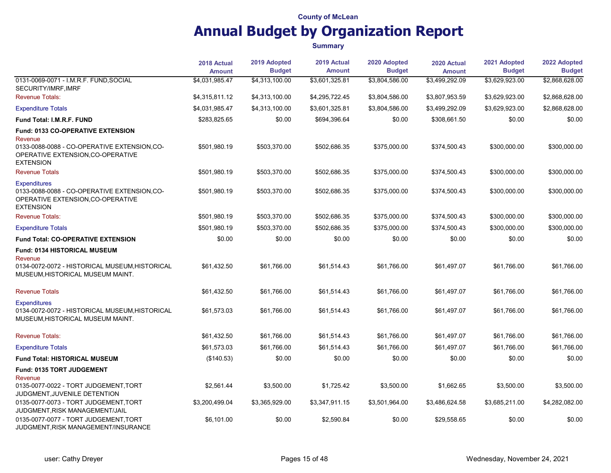|                                                                                                                                                              | 2018 Actual<br><b>Amount</b> | 2019 Adopted<br><b>Budget</b> | 2019 Actual<br><b>Amount</b> | 2020 Adopted<br><b>Budget</b> | 2020 Actual<br><b>Amount</b> | 2021 Adopted<br><b>Budget</b> | 2022 Adopted<br><b>Budget</b> |
|--------------------------------------------------------------------------------------------------------------------------------------------------------------|------------------------------|-------------------------------|------------------------------|-------------------------------|------------------------------|-------------------------------|-------------------------------|
| 0131-0069-0071 - I.M.R.F. FUND, SOCIAL<br>SECURITY/IMRF, IMRF                                                                                                | \$4,031,985.47               | \$4,313,100.00                | \$3,601,325.81               | \$3,804,586.00                | \$3,499,292.09               | \$3,629,923.00                | \$2,868,628.00                |
| <b>Revenue Totals:</b>                                                                                                                                       | \$4,315,811.12               | \$4,313,100.00                | \$4,295,722.45               | \$3,804,586.00                | \$3,807,953.59               | \$3,629,923.00                | \$2,868,628.00                |
| <b>Expenditure Totals</b>                                                                                                                                    | \$4,031,985.47               | \$4,313,100.00                | \$3,601,325.81               | \$3,804,586.00                | \$3,499,292.09               | \$3,629,923.00                | \$2,868,628.00                |
| <b>Fund Total: I.M.R.F. FUND</b>                                                                                                                             | \$283,825.65                 | \$0.00                        | \$694,396.64                 | \$0.00                        | \$308,661.50                 | \$0.00                        | \$0.00                        |
| Fund: 0133 CO-OPERATIVE EXTENSION<br>Revenue<br>0133-0088-0088 - CO-OPERATIVE EXTENSION.CO-<br>OPERATIVE EXTENSION, CO-OPERATIVE<br><b>EXTENSION</b>         | \$501,980.19                 | \$503,370.00                  | \$502,686.35                 | \$375,000.00                  | \$374,500.43                 | \$300,000.00                  | \$300,000.00                  |
| <b>Revenue Totals</b>                                                                                                                                        | \$501,980.19                 | \$503,370.00                  | \$502,686.35                 | \$375,000.00                  | \$374,500.43                 | \$300,000.00                  | \$300,000.00                  |
| <b>Expenditures</b><br>0133-0088-0088 - CO-OPERATIVE EXTENSION, CO-<br>OPERATIVE EXTENSION.CO-OPERATIVE<br><b>EXTENSION</b>                                  | \$501,980.19                 | \$503,370.00                  | \$502,686.35                 | \$375,000.00                  | \$374,500.43                 | \$300,000.00                  | \$300,000.00                  |
| <b>Revenue Totals:</b>                                                                                                                                       | \$501,980.19                 | \$503,370.00                  | \$502,686.35                 | \$375,000.00                  | \$374,500.43                 | \$300,000.00                  | \$300,000.00                  |
| <b>Expenditure Totals</b>                                                                                                                                    | \$501,980.19                 | \$503,370.00                  | \$502,686.35                 | \$375,000.00                  | \$374,500.43                 | \$300,000.00                  | \$300,000.00                  |
| <b>Fund Total: CO-OPERATIVE EXTENSION</b>                                                                                                                    | \$0.00                       | \$0.00                        | \$0.00                       | \$0.00                        | \$0.00                       | \$0.00                        | \$0.00                        |
| <b>Fund: 0134 HISTORICAL MUSEUM</b><br>Revenue<br>0134-0072-0072 - HISTORICAL MUSEUM, HISTORICAL<br>MUSEUM, HISTORICAL MUSEUM MAINT.                         | \$61,432.50                  | \$61,766.00                   | \$61,514.43                  | \$61,766.00                   | \$61,497.07                  | \$61,766.00                   | \$61,766.00                   |
| <b>Revenue Totals</b>                                                                                                                                        | \$61,432.50                  | \$61,766.00                   | \$61,514.43                  | \$61,766.00                   | \$61,497.07                  | \$61,766.00                   | \$61,766.00                   |
| <b>Expenditures</b><br>0134-0072-0072 - HISTORICAL MUSEUM HISTORICAL<br>MUSEUM, HISTORICAL MUSEUM MAINT.                                                     | \$61.573.03                  | \$61.766.00                   | \$61.514.43                  | \$61.766.00                   | \$61,497.07                  | \$61.766.00                   | \$61,766.00                   |
| <b>Revenue Totals:</b>                                                                                                                                       | \$61,432.50                  | \$61,766.00                   | \$61.514.43                  | \$61,766.00                   | \$61,497.07                  | \$61.766.00                   | \$61,766.00                   |
| <b>Expenditure Totals</b>                                                                                                                                    | \$61,573.03                  | \$61,766.00                   | \$61,514.43                  | \$61,766.00                   | \$61,497.07                  | \$61,766.00                   | \$61,766.00                   |
| Fund Total: HISTORICAL MUSEUM                                                                                                                                | (\$140.53)                   | \$0.00                        | \$0.00                       | \$0.00                        | \$0.00                       | \$0.00                        | \$0.00                        |
| <b>Fund: 0135 TORT JUDGEMENT</b><br>Revenue<br>0135-0077-0022 - TORT JUDGEMENT, TORT<br>JUDGMENT, JUVENILE DETENTION<br>0135-0077-0073 - TORT JUDGEMENT.TORT | \$2,561.44<br>\$3,200,499.04 | \$3,500.00<br>\$3,365,929.00  | \$1,725.42<br>\$3,347,911.15 | \$3,500.00<br>\$3,501,964.00  | \$1,662.65<br>\$3,486,624.58 | \$3,500.00<br>\$3,685,211.00  | \$3,500.00<br>\$4,282,082.00  |
| JUDGMENT, RISK MANAGEMENT/JAIL<br>0135-0077-0077 - TORT JUDGEMENT.TORT<br>JUDGMENT, RISK MANAGEMENT/INSURANCE                                                | \$6,101.00                   | \$0.00                        | \$2,590.84                   | \$0.00                        | \$29,558.65                  | \$0.00                        | \$0.00                        |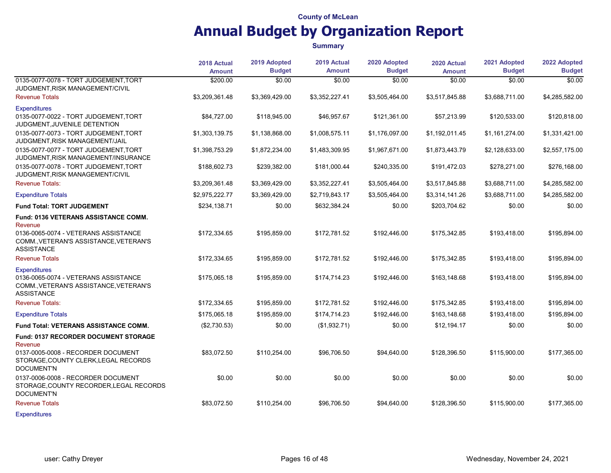|                                                                                                                            | 2018 Actual<br><b>Amount</b> | 2019 Adopted<br><b>Budget</b> | 2019 Actual<br><b>Amount</b> | 2020 Adopted<br><b>Budget</b> | 2020 Actual<br><b>Amount</b> | 2021 Adopted<br><b>Budget</b> | 2022 Adopted<br><b>Budget</b> |
|----------------------------------------------------------------------------------------------------------------------------|------------------------------|-------------------------------|------------------------------|-------------------------------|------------------------------|-------------------------------|-------------------------------|
| 0135-0077-0078 - TORT JUDGEMENT, TORT<br>JUDGMENT, RISK MANAGEMENT/CIVIL                                                   | \$200.00                     | \$0.00                        | \$0.00                       | \$0.00                        | \$0.00                       | \$0.00                        | \$0.00                        |
| <b>Revenue Totals</b>                                                                                                      | \$3,209,361.48               | \$3,369,429.00                | \$3,352,227.41               | \$3,505,464.00                | \$3,517,845.88               | \$3,688,711.00                | \$4,285,582.00                |
| <b>Expenditures</b><br>0135-0077-0022 - TORT JUDGEMENT, TORT<br>JUDGMENT, JUVENILE DETENTION                               | \$84,727.00                  | \$118,945.00                  | \$46,957.67                  | \$121,361.00                  | \$57,213.99                  | \$120,533.00                  | \$120,818.00                  |
| 0135-0077-0073 - TORT JUDGEMENT.TORT<br>JUDGMENT, RISK MANAGEMENT/JAIL                                                     | \$1,303,139.75               | \$1,138,868.00                | \$1,008,575.11               | \$1,176,097.00                | \$1,192,011.45               | \$1,161,274.00                | \$1,331,421.00                |
| 0135-0077-0077 - TORT JUDGEMENT.TORT<br>JUDGMENT, RISK MANAGEMENT/INSURANCE                                                | \$1,398,753.29               | \$1,872,234.00                | \$1,483,309.95               | \$1,967,671.00                | \$1,873,443.79               | \$2,128,633.00                | \$2,557,175.00                |
| 0135-0077-0078 - TORT JUDGEMENT.TORT<br>JUDGMENT RISK MANAGEMENT/CIVIL                                                     | \$188,602.73                 | \$239,382.00                  | \$181,000.44                 | \$240,335.00                  | \$191,472.03                 | \$278,271.00                  | \$276,168.00                  |
| <b>Revenue Totals:</b>                                                                                                     | \$3,209,361.48               | \$3,369,429.00                | \$3,352,227.41               | \$3,505,464.00                | \$3,517,845.88               | \$3,688,711.00                | \$4,285,582.00                |
| <b>Expenditure Totals</b>                                                                                                  | \$2,975,222.77               | \$3,369,429.00                | \$2,719,843.17               | \$3,505,464.00                | \$3,314,141.26               | \$3,688,711.00                | \$4,285,582.00                |
| <b>Fund Total: TORT JUDGEMENT</b>                                                                                          | \$234,138.71                 | \$0.00                        | \$632,384.24                 | \$0.00                        | \$203,704.62                 | \$0.00                        | \$0.00                        |
| Fund: 0136 VETERANS ASSISTANCE COMM.<br>Revenue                                                                            |                              |                               |                              |                               |                              |                               |                               |
| 0136-0065-0074 - VETERANS ASSISTANCE<br>COMM., VETERAN'S ASSISTANCE, VETERAN'S<br><b>ASSISTANCE</b>                        | \$172,334.65                 | \$195,859.00                  | \$172,781.52                 | \$192,446.00                  | \$175,342.85                 | \$193,418.00                  | \$195,894.00                  |
| <b>Revenue Totals</b>                                                                                                      | \$172,334.65                 | \$195,859.00                  | \$172,781.52                 | \$192,446.00                  | \$175,342.85                 | \$193.418.00                  | \$195,894.00                  |
| <b>Expenditures</b><br>0136-0065-0074 - VETERANS ASSISTANCE<br>COMM., VETERAN'S ASSISTANCE, VETERAN'S<br><b>ASSISTANCE</b> | \$175,065.18                 | \$195,859.00                  | \$174,714.23                 | \$192,446.00                  | \$163,148.68                 | \$193,418.00                  | \$195,894.00                  |
| <b>Revenue Totals:</b>                                                                                                     | \$172,334.65                 | \$195,859.00                  | \$172,781.52                 | \$192,446.00                  | \$175,342.85                 | \$193,418.00                  | \$195,894.00                  |
| <b>Expenditure Totals</b>                                                                                                  | \$175,065.18                 | \$195,859.00                  | \$174,714.23                 | \$192,446.00                  | \$163,148.68                 | \$193,418.00                  | \$195,894.00                  |
| <b>Fund Total: VETERANS ASSISTANCE COMM.</b>                                                                               | (\$2,730.53)                 | \$0.00                        | (\$1,932.71)                 | \$0.00                        | \$12,194.17                  | \$0.00                        | \$0.00                        |
| <b>Fund: 0137 RECORDER DOCUMENT STORAGE</b><br>Revenue                                                                     |                              |                               |                              |                               |                              |                               |                               |
| 0137-0005-0008 - RECORDER DOCUMENT<br>STORAGE, COUNTY CLERK, LEGAL RECORDS<br><b>DOCUMENT'N</b>                            | \$83,072.50                  | \$110,254.00                  | \$96,706.50                  | \$94,640.00                   | \$128,396.50                 | \$115,900.00                  | \$177,365.00                  |
| 0137-0006-0008 - RECORDER DOCUMENT<br>STORAGE, COUNTY RECORDER, LEGAL RECORDS<br><b>DOCUMENT'N</b>                         | \$0.00                       | \$0.00                        | \$0.00                       | \$0.00                        | \$0.00                       | \$0.00                        | \$0.00                        |
| <b>Revenue Totals</b>                                                                                                      | \$83,072.50                  | \$110,254.00                  | \$96,706.50                  | \$94,640.00                   | \$128,396.50                 | \$115,900.00                  | \$177,365.00                  |
| <b>Expenditures</b>                                                                                                        |                              |                               |                              |                               |                              |                               |                               |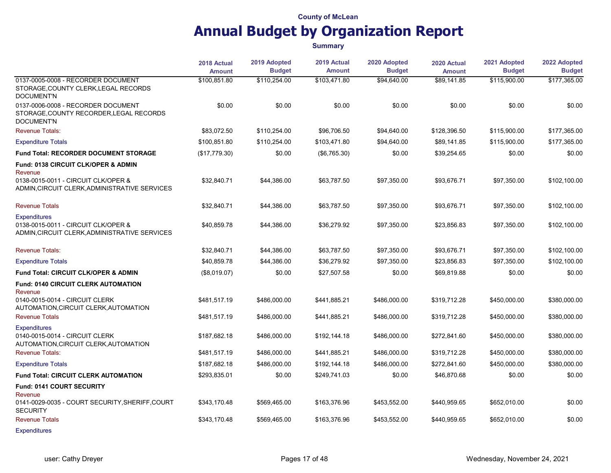|                                                                                                             | 2018 Actual   | 2019 Adopted  | 2019 Actual   | 2020 Adopted  | 2020 Actual   | 2021 Adopted  | 2022 Adopted  |
|-------------------------------------------------------------------------------------------------------------|---------------|---------------|---------------|---------------|---------------|---------------|---------------|
|                                                                                                             | <b>Amount</b> | <b>Budget</b> | <b>Amount</b> | <b>Budget</b> | <b>Amount</b> | <b>Budget</b> | <b>Budget</b> |
| 0137-0005-0008 - RECORDER DOCUMENT<br>STORAGE, COUNTY CLERK, LEGAL RECORDS<br><b>DOCUMENT'N</b>             | \$100,851.80  | \$110,254.00  | \$103,471.80  | \$94,640.00   | \$89,141.85   | \$115,900.00  | \$177,365.00  |
| 0137-0006-0008 - RECORDER DOCUMENT<br>STORAGE, COUNTY RECORDER, LEGAL RECORDS<br><b>DOCUMENT'N</b>          | \$0.00        | \$0.00        | \$0.00        | \$0.00        | \$0.00        | \$0.00        | \$0.00        |
| <b>Revenue Totals:</b>                                                                                      | \$83.072.50   | \$110,254.00  | \$96,706.50   | \$94,640.00   | \$128,396.50  | \$115,900.00  | \$177,365.00  |
| <b>Expenditure Totals</b>                                                                                   | \$100,851.80  | \$110,254.00  | \$103,471.80  | \$94,640.00   | \$89,141.85   | \$115,900.00  | \$177,365.00  |
| Fund Total: RECORDER DOCUMENT STORAGE                                                                       | (\$17,779.30) | \$0.00        | (\$6,765.30)  | \$0.00        | \$39,254.65   | \$0.00        | \$0.00        |
| Fund: 0138 CIRCUIT CLK/OPER & ADMIN<br>Revenue                                                              |               |               |               |               |               |               |               |
| 0138-0015-0011 - CIRCUIT CLK/OPER &<br>ADMIN, CIRCUIT CLERK, ADMINISTRATIVE SERVICES                        | \$32,840.71   | \$44,386.00   | \$63,787.50   | \$97,350.00   | \$93,676.71   | \$97,350.00   | \$102,100.00  |
| <b>Revenue Totals</b>                                                                                       | \$32,840.71   | \$44,386.00   | \$63,787.50   | \$97,350.00   | \$93,676.71   | \$97,350.00   | \$102,100.00  |
| <b>Expenditures</b><br>0138-0015-0011 - CIRCUIT CLK/OPER &<br>ADMIN, CIRCUIT CLERK, ADMINISTRATIVE SERVICES | \$40,859.78   | \$44,386.00   | \$36,279.92   | \$97,350.00   | \$23,856.83   | \$97,350.00   | \$102,100.00  |
| <b>Revenue Totals:</b>                                                                                      | \$32,840.71   | \$44,386.00   | \$63,787.50   | \$97,350.00   | \$93,676.71   | \$97,350.00   | \$102,100.00  |
| <b>Expenditure Totals</b>                                                                                   | \$40,859.78   | \$44,386.00   | \$36,279.92   | \$97,350.00   | \$23,856.83   | \$97,350.00   | \$102,100.00  |
| Fund Total: CIRCUIT CLK/OPER & ADMIN                                                                        | (\$8,019.07)  | \$0.00        | \$27,507.58   | \$0.00        | \$69,819.88   | \$0.00        | \$0.00        |
| <b>Fund: 0140 CIRCUIT CLERK AUTOMATION</b><br>Revenue                                                       |               |               |               |               |               |               |               |
| 0140-0015-0014 - CIRCUIT CLERK<br>AUTOMATION, CIRCUIT CLERK, AUTOMATION                                     | \$481,517.19  | \$486,000.00  | \$441,885.21  | \$486,000.00  | \$319,712.28  | \$450,000.00  | \$380,000.00  |
| <b>Revenue Totals</b>                                                                                       | \$481,517.19  | \$486,000.00  | \$441,885.21  | \$486,000.00  | \$319,712.28  | \$450,000.00  | \$380,000.00  |
| <b>Expenditures</b><br>0140-0015-0014 - CIRCUIT CLERK<br>AUTOMATION, CIRCUIT CLERK, AUTOMATION              | \$187,682.18  | \$486,000.00  | \$192,144.18  | \$486,000.00  | \$272,841.60  | \$450,000.00  | \$380,000.00  |
| <b>Revenue Totals:</b>                                                                                      | \$481,517.19  | \$486,000.00  | \$441,885.21  | \$486,000.00  | \$319,712.28  | \$450,000.00  | \$380,000.00  |
| <b>Expenditure Totals</b>                                                                                   | \$187,682.18  | \$486,000.00  | \$192,144.18  | \$486,000.00  | \$272,841.60  | \$450,000.00  | \$380,000.00  |
| <b>Fund Total: CIRCUIT CLERK AUTOMATION</b>                                                                 | \$293,835.01  | \$0.00        | \$249,741.03  | \$0.00        | \$46,870.68   | \$0.00        | \$0.00        |
| Fund: 0141 COURT SECURITY<br>Revenue                                                                        |               |               |               |               |               |               |               |
| 0141-0029-0035 - COURT SECURITY, SHERIFF, COURT<br><b>SECURITY</b>                                          | \$343,170.48  | \$569,465.00  | \$163,376.96  | \$453,552.00  | \$440,959.65  | \$652,010.00  | \$0.00        |
| <b>Revenue Totals</b>                                                                                       | \$343,170.48  | \$569,465.00  | \$163,376.96  | \$453,552.00  | \$440,959.65  | \$652,010.00  | \$0.00        |
| <b>Expenditures</b>                                                                                         |               |               |               |               |               |               |               |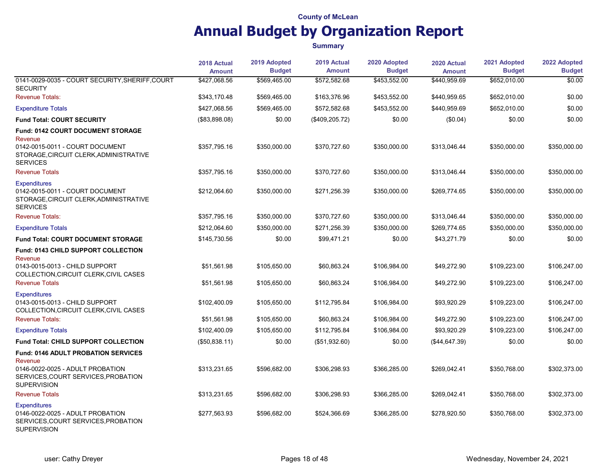|                                                                                                                      | 2018 Actual<br><b>Amount</b> | 2019 Adopted<br><b>Budget</b> | 2019 Actual<br><b>Amount</b> | 2020 Adopted<br><b>Budget</b> | 2020 Actual<br><b>Amount</b> | 2021 Adopted<br><b>Budget</b> | 2022 Adopted<br><b>Budget</b> |
|----------------------------------------------------------------------------------------------------------------------|------------------------------|-------------------------------|------------------------------|-------------------------------|------------------------------|-------------------------------|-------------------------------|
| 0141-0029-0035 - COURT SECURITY, SHERIFF, COURT<br><b>SECURITY</b>                                                   | \$427,068.56                 | \$569,465.00                  | \$572,582.68                 | \$453,552.00                  | \$440,959.69                 | \$652,010.00                  | \$0.00                        |
| <b>Revenue Totals:</b>                                                                                               | \$343.170.48                 | \$569,465.00                  | \$163,376.96                 | \$453,552.00                  | \$440,959.65                 | \$652,010.00                  | \$0.00                        |
| <b>Expenditure Totals</b>                                                                                            | \$427,068.56                 | \$569,465.00                  | \$572,582.68                 | \$453,552.00                  | \$440,959.69                 | \$652,010.00                  | \$0.00                        |
| <b>Fund Total: COURT SECURITY</b>                                                                                    | (\$83,898.08)                | \$0.00                        | (\$409, 205.72)              | \$0.00                        | (\$0.04)                     | \$0.00                        | \$0.00                        |
| <b>Fund: 0142 COURT DOCUMENT STORAGE</b><br>Revenue                                                                  |                              |                               |                              |                               |                              |                               |                               |
| 0142-0015-0011 - COURT DOCUMENT<br>STORAGE, CIRCUIT CLERK, ADMINISTRATIVE<br><b>SERVICES</b>                         | \$357,795.16                 | \$350,000.00                  | \$370,727.60                 | \$350,000.00                  | \$313,046.44                 | \$350,000.00                  | \$350,000.00                  |
| <b>Revenue Totals</b>                                                                                                | \$357,795.16                 | \$350,000.00                  | \$370,727.60                 | \$350,000.00                  | \$313,046.44                 | \$350,000.00                  | \$350,000.00                  |
| <b>Expenditures</b><br>0142-0015-0011 - COURT DOCUMENT<br>STORAGE, CIRCUIT CLERK, ADMINISTRATIVE<br><b>SERVICES</b>  | \$212,064.60                 | \$350,000.00                  | \$271,256.39                 | \$350,000.00                  | \$269,774.65                 | \$350,000.00                  | \$350,000.00                  |
| <b>Revenue Totals:</b>                                                                                               | \$357,795.16                 | \$350,000.00                  | \$370,727.60                 | \$350,000.00                  | \$313,046.44                 | \$350,000.00                  | \$350,000.00                  |
| <b>Expenditure Totals</b>                                                                                            | \$212,064.60                 | \$350,000.00                  | \$271,256.39                 | \$350,000.00                  | \$269,774.65                 | \$350,000.00                  | \$350,000.00                  |
| <b>Fund Total: COURT DOCUMENT STORAGE</b>                                                                            | \$145,730.56                 | \$0.00                        | \$99,471.21                  | \$0.00                        | \$43,271.79                  | \$0.00                        | \$0.00                        |
| Fund: 0143 CHILD SUPPORT COLLECTION<br>Revenue                                                                       |                              |                               |                              |                               |                              |                               |                               |
| 0143-0015-0013 - CHILD SUPPORT<br>COLLECTION, CIRCUIT CLERK, CIVIL CASES                                             | \$51.561.98                  | \$105,650.00                  | \$60,863.24                  | \$106,984.00                  | \$49,272.90                  | \$109,223.00                  | \$106,247.00                  |
| <b>Revenue Totals</b>                                                                                                | \$51,561.98                  | \$105,650.00                  | \$60,863.24                  | \$106,984.00                  | \$49,272.90                  | \$109,223.00                  | \$106,247.00                  |
| <b>Expenditures</b><br>0143-0015-0013 - CHILD SUPPORT<br>COLLECTION, CIRCUIT CLERK, CIVIL CASES                      | \$102,400.09                 | \$105,650.00                  | \$112,795.84                 | \$106,984.00                  | \$93,920.29                  | \$109,223.00                  | \$106,247.00                  |
| <b>Revenue Totals:</b>                                                                                               | \$51,561.98                  | \$105,650.00                  | \$60,863.24                  | \$106,984.00                  | \$49,272.90                  | \$109,223.00                  | \$106,247.00                  |
| <b>Expenditure Totals</b>                                                                                            | \$102,400.09                 | \$105,650.00                  | \$112,795.84                 | \$106,984.00                  | \$93,920.29                  | \$109,223.00                  | \$106,247.00                  |
| Fund Total: CHILD SUPPORT COLLECTION                                                                                 | (\$50,838.11)                | \$0.00                        | (\$51,932.60)                | \$0.00                        | (\$44,647.39)                | \$0.00                        | \$0.00                        |
| <b>Fund: 0146 ADULT PROBATION SERVICES</b><br>Revenue                                                                |                              |                               |                              |                               |                              |                               |                               |
| 0146-0022-0025 - ADULT PROBATION<br>SERVICES, COURT SERVICES, PROBATION<br><b>SUPERVISION</b>                        | \$313,231.65                 | \$596,682.00                  | \$306,298.93                 | \$366,285.00                  | \$269,042.41                 | \$350,768.00                  | \$302,373.00                  |
| <b>Revenue Totals</b>                                                                                                | \$313,231.65                 | \$596,682.00                  | \$306,298.93                 | \$366,285.00                  | \$269,042.41                 | \$350,768.00                  | \$302,373.00                  |
| <b>Expenditures</b><br>0146-0022-0025 - ADULT PROBATION<br>SERVICES, COURT SERVICES, PROBATION<br><b>SUPERVISION</b> | \$277,563.93                 | \$596,682.00                  | \$524,366.69                 | \$366,285.00                  | \$278,920.50                 | \$350,768.00                  | \$302,373.00                  |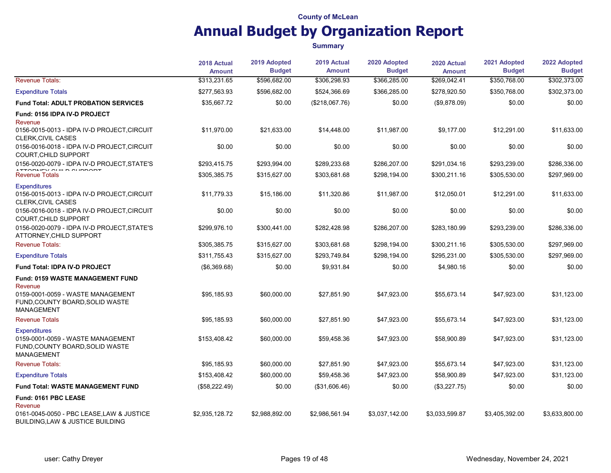|                                                                                                                  | 2018 Actual<br><b>Amount</b> | 2019 Adopted<br><b>Budget</b> | 2019 Actual<br><b>Amount</b> | 2020 Adopted<br><b>Budget</b> | 2020 Actual<br><b>Amount</b> | 2021 Adopted<br><b>Budget</b> | 2022 Adopted<br><b>Budget</b> |
|------------------------------------------------------------------------------------------------------------------|------------------------------|-------------------------------|------------------------------|-------------------------------|------------------------------|-------------------------------|-------------------------------|
| <b>Revenue Totals:</b>                                                                                           | \$313,231.65                 | \$596,682.00                  | \$306,298.93                 | \$366,285.00                  | \$269,042.41                 | \$350,768.00                  | \$302,373.00                  |
| <b>Expenditure Totals</b>                                                                                        | \$277,563.93                 | \$596,682.00                  | \$524,366.69                 | \$366,285.00                  | \$278,920.50                 | \$350,768.00                  | \$302,373.00                  |
| Fund Total: ADULT PROBATION SERVICES                                                                             | \$35,667.72                  | \$0.00                        | (\$218,067.76)               | \$0.00                        | (\$9,878.09)                 | \$0.00                        | \$0.00                        |
| Fund: 0156 IDPA IV-D PROJECT<br>Revenue                                                                          |                              |                               |                              |                               |                              |                               |                               |
| 0156-0015-0013 - IDPA IV-D PROJECT,CIRCUIT<br><b>CLERK, CIVIL CASES</b>                                          | \$11,970.00                  | \$21,633.00                   | \$14,448.00                  | \$11,987.00                   | \$9,177.00                   | \$12,291.00                   | \$11,633.00                   |
| 0156-0016-0018 - IDPA IV-D PROJECT, CIRCUIT<br>COURT, CHILD SUPPORT                                              | \$0.00                       | \$0.00                        | \$0.00                       | \$0.00                        | \$0.00                       | \$0.00                        | \$0.00                        |
| 0156-0020-0079 - IDPA IV-D PROJECT, STATE'S                                                                      | \$293,415.75                 | \$293,994.00                  | \$289,233.68                 | \$286,207.00                  | \$291,034.16                 | \$293,239.00                  | \$286,336.00                  |
| ATTODUEV OULD OUDDODT<br><b>Revenue Totals</b>                                                                   | \$305,385.75                 | \$315,627.00                  | \$303,681.68                 | \$298,194.00                  | \$300,211.16                 | \$305,530.00                  | \$297,969.00                  |
| <b>Expenditures</b><br>0156-0015-0013 - IDPA IV-D PROJECT, CIRCUIT<br>CLERK, CIVIL CASES                         | \$11,779.33                  | \$15,186.00                   | \$11,320.86                  | \$11,987.00                   | \$12,050.01                  | \$12,291.00                   | \$11,633.00                   |
| 0156-0016-0018 - IDPA IV-D PROJECT, CIRCUIT<br>COURT, CHILD SUPPORT                                              | \$0.00                       | \$0.00                        | \$0.00                       | \$0.00                        | \$0.00                       | \$0.00                        | \$0.00                        |
| 0156-0020-0079 - IDPA IV-D PROJECT, STATE'S<br>ATTORNEY, CHILD SUPPORT                                           | \$299,976.10                 | \$300,441.00                  | \$282,428.98                 | \$286,207.00                  | \$283,180.99                 | \$293,239.00                  | \$286,336.00                  |
| <b>Revenue Totals:</b>                                                                                           | \$305,385.75                 | \$315,627.00                  | \$303,681.68                 | \$298,194.00                  | \$300,211.16                 | \$305,530.00                  | \$297,969.00                  |
| <b>Expenditure Totals</b>                                                                                        | \$311,755.43                 | \$315,627.00                  | \$293,749.84                 | \$298,194.00                  | \$295,231.00                 | \$305,530.00                  | \$297,969.00                  |
| Fund Total: IDPA IV-D PROJECT                                                                                    | (\$6,369.68)                 | \$0.00                        | \$9,931.84                   | \$0.00                        | \$4,980.16                   | \$0.00                        | \$0.00                        |
| <b>Fund: 0159 WASTE MANAGEMENT FUND</b><br>Revenue                                                               |                              |                               |                              |                               |                              |                               |                               |
| 0159-0001-0059 - WASTE MANAGEMENT<br>FUND, COUNTY BOARD, SOLID WASTE<br><b>MANAGEMENT</b>                        | \$95,185.93                  | \$60,000.00                   | \$27,851.90                  | \$47,923.00                   | \$55,673.14                  | \$47,923.00                   | \$31,123.00                   |
| <b>Revenue Totals</b>                                                                                            | \$95,185.93                  | \$60,000.00                   | \$27,851.90                  | \$47,923.00                   | \$55,673.14                  | \$47,923.00                   | \$31,123.00                   |
| <b>Expenditures</b><br>0159-0001-0059 - WASTE MANAGEMENT<br>FUND, COUNTY BOARD, SOLID WASTE<br><b>MANAGEMENT</b> | \$153,408.42                 | \$60,000.00                   | \$59,458.36                  | \$47,923.00                   | \$58,900.89                  | \$47,923.00                   | \$31,123.00                   |
| <b>Revenue Totals:</b>                                                                                           | \$95,185.93                  | \$60,000.00                   | \$27,851.90                  | \$47,923.00                   | \$55,673.14                  | \$47,923.00                   | \$31,123.00                   |
| <b>Expenditure Totals</b>                                                                                        | \$153,408.42                 | \$60,000.00                   | \$59,458.36                  | \$47,923.00                   | \$58,900.89                  | \$47,923.00                   | \$31,123.00                   |
| <b>Fund Total: WASTE MANAGEMENT FUND</b>                                                                         | (\$58,222.49)                | \$0.00                        | (\$31,606.46)                | \$0.00                        | (\$3,227.75)                 | \$0.00                        | \$0.00                        |
| Fund: 0161 PBC LEASE<br>Revenue<br>0161-0045-0050 - PBC LEASE, LAW & JUSTICE<br>BUILDING, LAW & JUSTICE BUILDING | \$2,935,128.72               | \$2,988,892.00                | \$2,986,561.94               | \$3,037,142.00                | \$3,033,599.87               | \$3,405,392.00                | \$3,633,800.00                |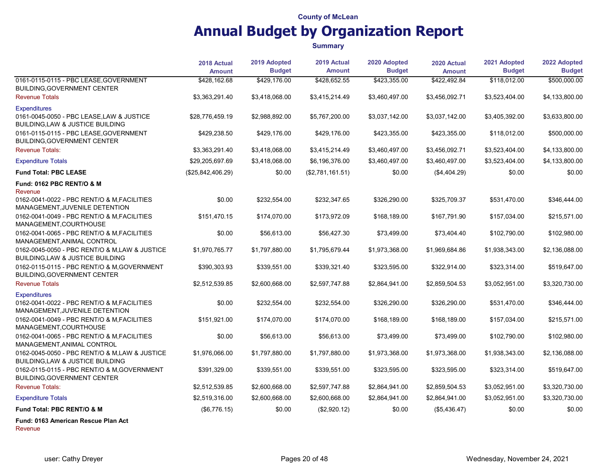#### **Summary**

|                                                                                                      | 2018 Actual<br><b>Amount</b> | 2019 Adopted<br><b>Budget</b> | 2019 Actual<br><b>Amount</b> | 2020 Adopted<br><b>Budget</b> | 2020 Actual<br><b>Amount</b> | 2021 Adopted<br><b>Budget</b> | 2022 Adopted<br><b>Budget</b> |
|------------------------------------------------------------------------------------------------------|------------------------------|-------------------------------|------------------------------|-------------------------------|------------------------------|-------------------------------|-------------------------------|
| 0161-0115-0115 - PBC LEASE, GOVERNMENT<br><b>BUILDING, GOVERNMENT CENTER</b>                         | \$428,162.68                 | \$429,176.00                  | \$428,652.55                 | \$423,355.00                  | \$422.492.84                 | \$118,012.00                  | \$500,000.00                  |
| <b>Revenue Totals</b>                                                                                | \$3,363,291.40               | \$3,418,068.00                | \$3,415,214.49               | \$3,460,497.00                | \$3,456,092.71               | \$3,523,404.00                | \$4,133,800.00                |
| <b>Expenditures</b><br>0161-0045-0050 - PBC LEASE, LAW & JUSTICE<br>BUILDING, LAW & JUSTICE BUILDING | \$28,776,459.19              | \$2,988,892.00                | \$5,767,200.00               | \$3,037,142.00                | \$3,037,142.00               | \$3,405,392.00                | \$3,633,800.00                |
| 0161-0115-0115 - PBC LEASE, GOVERNMENT<br><b>BUILDING, GOVERNMENT CENTER</b>                         | \$429,238.50                 | \$429,176.00                  | \$429,176.00                 | \$423,355.00                  | \$423,355.00                 | \$118,012.00                  | \$500,000.00                  |
| <b>Revenue Totals:</b>                                                                               | \$3,363,291.40               | \$3,418,068.00                | \$3,415,214.49               | \$3,460,497.00                | \$3,456,092.71               | \$3,523,404.00                | \$4,133,800.00                |
| <b>Expenditure Totals</b>                                                                            | \$29,205,697.69              | \$3,418,068.00                | \$6,196,376.00               | \$3,460,497.00                | \$3,460,497.00               | \$3,523,404.00                | \$4,133,800.00                |
| <b>Fund Total: PBC LEASE</b>                                                                         | (\$25,842,406.29)            | \$0.00                        | (\$2,781,161.51)             | \$0.00                        | (\$4,404.29)                 | \$0.00                        | \$0.00                        |
| <b>Fund: 0162 PBC RENT/O &amp; M</b><br>Revenue                                                      |                              |                               |                              |                               |                              |                               |                               |
| 0162-0041-0022 - PBC RENT/O & M.FACILITIES<br>MANAGEMENT, JUVENILE DETENTION                         | \$0.00                       | \$232,554.00                  | \$232,347.65                 | \$326,290.00                  | \$325,709.37                 | \$531,470.00                  | \$346,444.00                  |
| 0162-0041-0049 - PBC RENT/O & M, FACILITIES<br>MANAGEMENT, COURTHOUSE                                | \$151,470.15                 | \$174,070.00                  | \$173,972.09                 | \$168,189.00                  | \$167,791.90                 | \$157,034.00                  | \$215,571.00                  |
| 0162-0041-0065 - PBC RENT/O & M, FACILITIES<br>MANAGEMENT, ANIMAL CONTROL                            | \$0.00                       | \$56,613.00                   | \$56,427.30                  | \$73,499.00                   | \$73,404.40                  | \$102,790.00                  | \$102,980.00                  |
| 0162-0045-0050 - PBC RENT/O & M,LAW & JUSTICE<br>BUILDING, LAW & JUSTICE BUILDING                    | \$1,970,765.77               | \$1,797,880.00                | \$1,795,679.44               | \$1,973,368.00                | \$1,969,684.86               | \$1,938,343.00                | \$2,136,088.00                |
| 0162-0115-0115 - PBC RENT/O & M, GOVERNMENT<br>BUILDING, GOVERNMENT CENTER                           | \$390,303.93                 | \$339,551.00                  | \$339,321.40                 | \$323,595.00                  | \$322,914.00                 | \$323,314.00                  | \$519,647.00                  |
| <b>Revenue Totals</b>                                                                                | \$2,512,539.85               | \$2,600,668.00                | \$2,597,747.88               | \$2,864,941.00                | \$2,859,504.53               | \$3,052,951.00                | \$3,320,730.00                |
| <b>Expenditures</b><br>0162-0041-0022 - PBC RENT/O & M, FACILITIES<br>MANAGEMENT, JUVENILE DETENTION | \$0.00                       | \$232,554.00                  | \$232,554.00                 | \$326,290.00                  | \$326,290.00                 | \$531,470.00                  | \$346,444.00                  |
| 0162-0041-0049 - PBC RENT/O & M, FACILITIES<br>MANAGEMENT, COURTHOUSE                                | \$151,921.00                 | \$174,070.00                  | \$174,070.00                 | \$168,189.00                  | \$168,189.00                 | \$157,034.00                  | \$215,571.00                  |
| 0162-0041-0065 - PBC RENT/O & M, FACILITIES<br>MANAGEMENT, ANIMAL CONTROL                            | \$0.00                       | \$56,613.00                   | \$56,613.00                  | \$73,499.00                   | \$73,499.00                  | \$102,790.00                  | \$102,980.00                  |
| 0162-0045-0050 - PBC RENT/O & M,LAW & JUSTICE<br>BUILDING, LAW & JUSTICE BUILDING                    | \$1,976,066.00               | \$1,797,880.00                | \$1,797,880.00               | \$1,973,368.00                | \$1,973,368.00               | \$1,938,343.00                | \$2,136,088.00                |
| 0162-0115-0115 - PBC RENT/O & M, GOVERNMENT<br><b>BUILDING, GOVERNMENT CENTER</b>                    | \$391,329.00                 | \$339,551.00                  | \$339,551.00                 | \$323,595.00                  | \$323,595.00                 | \$323,314.00                  | \$519,647.00                  |
| <b>Revenue Totals:</b>                                                                               | \$2,512,539.85               | \$2,600,668.00                | \$2,597,747.88               | \$2,864,941.00                | \$2,859,504.53               | \$3,052,951.00                | \$3,320,730.00                |
| <b>Expenditure Totals</b>                                                                            | \$2,519,316.00               | \$2,600,668.00                | \$2,600,668.00               | \$2,864,941.00                | \$2,864,941.00               | \$3,052,951.00                | \$3,320,730.00                |
| Fund Total: PBC RENT/O & M                                                                           | (\$6,776.15)                 | \$0.00                        | (\$2,920.12)                 | \$0.00                        | (\$5,436.47)                 | \$0.00                        | \$0.00                        |
| Fund: 0163 American Rescue Plan Act                                                                  |                              |                               |                              |                               |                              |                               |                               |

Revenue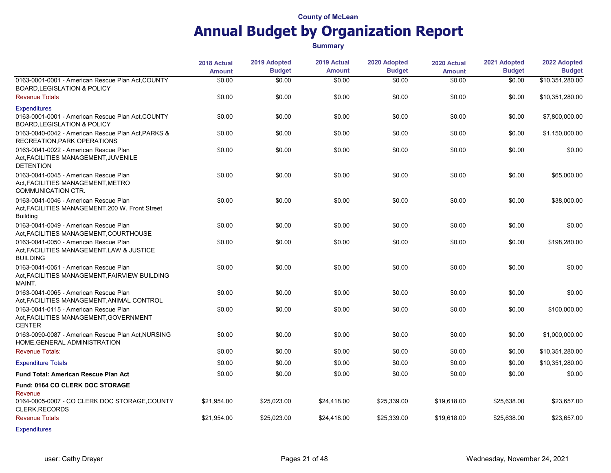|                                                                                                                    | 2018 Actual<br><b>Amount</b> | 2019 Adopted<br><b>Budget</b> | 2019 Actual<br><b>Amount</b> | 2020 Adopted<br><b>Budget</b> | 2020 Actual<br><b>Amount</b> | 2021 Adopted<br><b>Budget</b> | 2022 Adopted<br><b>Budget</b> |
|--------------------------------------------------------------------------------------------------------------------|------------------------------|-------------------------------|------------------------------|-------------------------------|------------------------------|-------------------------------|-------------------------------|
| 0163-0001-0001 - American Rescue Plan Act, COUNTY<br><b>BOARD LEGISLATION &amp; POLICY</b>                         | \$0.00                       | \$0.00                        | \$0.00                       | \$0.00                        | \$0.00                       | \$0.00                        | \$10,351,280.00               |
| <b>Revenue Totals</b>                                                                                              | \$0.00                       | \$0.00                        | \$0.00                       | \$0.00                        | \$0.00                       | \$0.00                        | \$10,351,280.00               |
| <b>Expenditures</b><br>0163-0001-0001 - American Rescue Plan Act, COUNTY<br><b>BOARD, LEGISLATION &amp; POLICY</b> | \$0.00                       | \$0.00                        | \$0.00                       | \$0.00                        | \$0.00                       | \$0.00                        | \$7,800,000.00                |
| 0163-0040-0042 - American Rescue Plan Act, PARKS &<br>RECREATION, PARK OPERATIONS                                  | \$0.00                       | \$0.00                        | \$0.00                       | \$0.00                        | \$0.00                       | \$0.00                        | \$1,150,000.00                |
| 0163-0041-0022 - American Rescue Plan<br>Act, FACILITIES MANAGEMENT, JUVENILE<br><b>DETENTION</b>                  | \$0.00                       | \$0.00                        | \$0.00                       | \$0.00                        | \$0.00                       | \$0.00                        | \$0.00                        |
| 0163-0041-0045 - American Rescue Plan<br>Act, FACILITIES MANAGEMENT, METRO<br>COMMUNICATION CTR.                   | \$0.00                       | \$0.00                        | \$0.00                       | \$0.00                        | \$0.00                       | \$0.00                        | \$65,000.00                   |
| 0163-0041-0046 - American Rescue Plan<br>Act, FACILITIES MANAGEMENT, 200 W. Front Street<br><b>Building</b>        | \$0.00                       | \$0.00                        | \$0.00                       | \$0.00                        | \$0.00                       | \$0.00                        | \$38,000.00                   |
| 0163-0041-0049 - American Rescue Plan<br>Act, FACILITIES MANAGEMENT, COURTHOUSE                                    | \$0.00                       | \$0.00                        | \$0.00                       | \$0.00                        | \$0.00                       | \$0.00                        | \$0.00                        |
| 0163-0041-0050 - American Rescue Plan<br>Act. FACILITIES MANAGEMENT. LAW & JUSTICE<br><b>BUILDING</b>              | \$0.00                       | \$0.00                        | \$0.00                       | \$0.00                        | \$0.00                       | \$0.00                        | \$198,280.00                  |
| 0163-0041-0051 - American Rescue Plan<br>Act, FACILITIES MANAGEMENT, FAIRVIEW BUILDING<br>MAINT.                   | \$0.00                       | \$0.00                        | \$0.00                       | \$0.00                        | \$0.00                       | \$0.00                        | \$0.00                        |
| 0163-0041-0065 - American Rescue Plan<br>Act, FACILITIES MANAGEMENT, ANIMAL CONTROL                                | \$0.00                       | \$0.00                        | \$0.00                       | \$0.00                        | \$0.00                       | \$0.00                        | \$0.00                        |
| 0163-0041-0115 - American Rescue Plan<br>Act, FACILITIES MANAGEMENT, GOVERNMENT<br><b>CENTER</b>                   | \$0.00                       | \$0.00                        | \$0.00                       | \$0.00                        | \$0.00                       | \$0.00                        | \$100,000.00                  |
| 0163-0090-0087 - American Rescue Plan Act, NURSING<br>HOME, GENERAL ADMINISTRATION                                 | \$0.00                       | \$0.00                        | \$0.00                       | \$0.00                        | \$0.00                       | \$0.00                        | \$1,000,000.00                |
| <b>Revenue Totals:</b>                                                                                             | \$0.00                       | \$0.00                        | \$0.00                       | \$0.00                        | \$0.00                       | \$0.00                        | \$10,351,280.00               |
| <b>Expenditure Totals</b>                                                                                          | \$0.00                       | \$0.00                        | \$0.00                       | \$0.00                        | \$0.00                       | \$0.00                        | \$10,351,280.00               |
| <b>Fund Total: American Rescue Plan Act</b>                                                                        | \$0.00                       | \$0.00                        | \$0.00                       | \$0.00                        | \$0.00                       | \$0.00                        | \$0.00                        |
| Fund: 0164 CO CLERK DOC STORAGE<br>Revenue                                                                         |                              |                               |                              |                               |                              |                               |                               |
| 0164-0005-0007 - CO CLERK DOC STORAGE, COUNTY<br><b>CLERK, RECORDS</b>                                             | \$21,954.00                  | \$25,023.00                   | \$24,418.00                  | \$25,339.00                   | \$19,618.00                  | \$25,638.00                   | \$23,657.00                   |
| <b>Revenue Totals</b>                                                                                              | \$21,954.00                  | \$25,023.00                   | \$24,418.00                  | \$25,339.00                   | \$19,618.00                  | \$25,638.00                   | \$23,657.00                   |
| <b>Expenditures</b>                                                                                                |                              |                               |                              |                               |                              |                               |                               |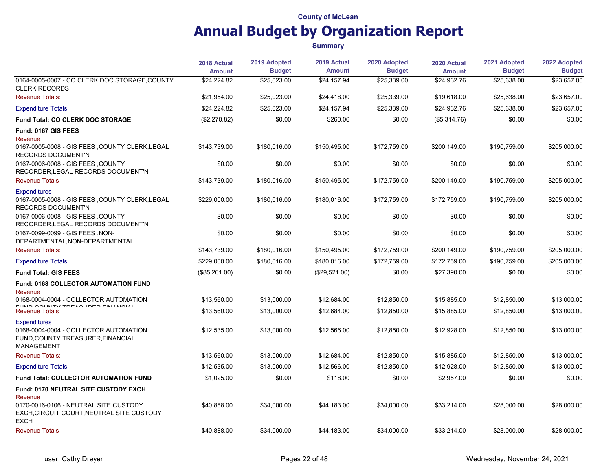|                                                                                                                        | 2018 Actual<br><b>Amount</b> | 2019 Adopted<br><b>Budget</b> | 2019 Actual<br><b>Amount</b> | 2020 Adopted<br><b>Budget</b> | 2020 Actual<br><b>Amount</b> | 2021 Adopted<br><b>Budget</b> | 2022 Adopted<br><b>Budget</b> |
|------------------------------------------------------------------------------------------------------------------------|------------------------------|-------------------------------|------------------------------|-------------------------------|------------------------------|-------------------------------|-------------------------------|
| 0164-0005-0007 - CO CLERK DOC STORAGE, COUNTY<br><b>CLERK, RECORDS</b>                                                 | \$24,224.82                  | \$25,023.00                   | \$24,157.94                  | \$25,339.00                   | \$24,932.76                  | \$25,638.00                   | \$23,657.00                   |
| <b>Revenue Totals:</b>                                                                                                 | \$21,954.00                  | \$25,023.00                   | \$24,418.00                  | \$25,339.00                   | \$19,618.00                  | \$25,638.00                   | \$23,657.00                   |
| <b>Expenditure Totals</b>                                                                                              | \$24,224.82                  | \$25,023.00                   | \$24,157.94                  | \$25,339.00                   | \$24,932.76                  | \$25,638.00                   | \$23,657.00                   |
| <b>Fund Total: CO CLERK DOC STORAGE</b>                                                                                | (\$2,270.82)                 | \$0.00                        | \$260.06                     | \$0.00                        | (\$5,314.76)                 | \$0.00                        | \$0.00                        |
| Fund: 0167 GIS FEES<br>Revenue                                                                                         |                              |                               |                              |                               |                              |                               |                               |
| 0167-0005-0008 - GIS FEES, COUNTY CLERK, LEGAL<br>RECORDS DOCUMENT'N                                                   | \$143,739.00                 | \$180,016.00                  | \$150,495.00                 | \$172,759.00                  | \$200,149.00                 | \$190,759.00                  | \$205,000.00                  |
| 0167-0006-0008 - GIS FEES ,COUNTY<br>RECORDER, LEGAL RECORDS DOCUMENT'N                                                | \$0.00                       | \$0.00                        | \$0.00                       | \$0.00                        | \$0.00                       | \$0.00                        | \$0.00                        |
| <b>Revenue Totals</b>                                                                                                  | \$143,739.00                 | \$180,016.00                  | \$150,495.00                 | \$172,759.00                  | \$200,149.00                 | \$190,759.00                  | \$205,000.00                  |
| <b>Expenditures</b><br>0167-0005-0008 - GIS FEES, COUNTY CLERK, LEGAL<br><b>RECORDS DOCUMENT'N</b>                     | \$229,000.00                 | \$180,016.00                  | \$180,016.00                 | \$172,759.00                  | \$172,759.00                 | \$190,759.00                  | \$205,000.00                  |
| 0167-0006-0008 - GIS FEES ,COUNTY<br>RECORDER, LEGAL RECORDS DOCUMENT'N                                                | \$0.00                       | \$0.00                        | \$0.00                       | \$0.00                        | \$0.00                       | \$0.00                        | \$0.00                        |
| 0167-0099-0099 - GIS FEES, NON-<br>DEPARTMENTAL, NON-DEPARTMENTAL                                                      | \$0.00                       | \$0.00                        | \$0.00                       | \$0.00                        | \$0.00                       | \$0.00                        | \$0.00                        |
| <b>Revenue Totals:</b>                                                                                                 | \$143,739.00                 | \$180,016.00                  | \$150,495.00                 | \$172,759.00                  | \$200,149.00                 | \$190,759.00                  | \$205,000.00                  |
| <b>Expenditure Totals</b>                                                                                              | \$229,000.00                 | \$180,016.00                  | \$180,016.00                 | \$172,759.00                  | \$172,759.00                 | \$190,759.00                  | \$205,000.00                  |
| <b>Fund Total: GIS FEES</b>                                                                                            | (\$85,261.00)                | \$0.00                        | (\$29,521.00)                | \$0.00                        | \$27,390.00                  | \$0.00                        | \$0.00                        |
| Fund: 0168 COLLECTOR AUTOMATION FUND<br>Revenue                                                                        |                              |                               |                              |                               |                              |                               |                               |
| 0168-0004-0004 - COLLECTOR AUTOMATION<br>FUND COUNTY TOP A OUDED FINANCIAL                                             | \$13,560.00                  | \$13,000.00                   | \$12,684.00                  | \$12,850.00                   | \$15,885.00                  | \$12,850.00                   | \$13,000.00                   |
| <b>Revenue Totals</b>                                                                                                  | \$13,560.00                  | \$13,000.00                   | \$12,684.00                  | \$12,850.00                   | \$15,885.00                  | \$12,850.00                   | \$13,000.00                   |
| <b>Expenditures</b><br>0168-0004-0004 - COLLECTOR AUTOMATION<br>FUND, COUNTY TREASURER, FINANCIAL<br><b>MANAGEMENT</b> | \$12,535.00                  | \$13,000.00                   | \$12,566.00                  | \$12,850.00                   | \$12,928.00                  | \$12,850.00                   | \$13,000.00                   |
| <b>Revenue Totals:</b>                                                                                                 | \$13,560.00                  | \$13,000.00                   | \$12,684.00                  | \$12,850.00                   | \$15,885.00                  | \$12,850.00                   | \$13,000.00                   |
| <b>Expenditure Totals</b>                                                                                              | \$12,535.00                  | \$13,000.00                   | \$12,566.00                  | \$12,850.00                   | \$12,928.00                  | \$12,850.00                   | \$13,000.00                   |
| <b>Fund Total: COLLECTOR AUTOMATION FUND</b>                                                                           | \$1,025.00                   | \$0.00                        | \$118.00                     | \$0.00                        | \$2,957.00                   | \$0.00                        | \$0.00                        |
| Fund: 0170 NEUTRAL SITE CUSTODY EXCH<br>Revenue                                                                        |                              |                               |                              |                               |                              |                               |                               |
| 0170-0016-0106 - NEUTRAL SITE CUSTODY<br>EXCH, CIRCUIT COURT, NEUTRAL SITE CUSTODY<br><b>EXCH</b>                      | \$40,888.00                  | \$34,000.00                   | \$44,183.00                  | \$34,000.00                   | \$33,214.00                  | \$28,000.00                   | \$28,000.00                   |
| <b>Revenue Totals</b>                                                                                                  | \$40,888.00                  | \$34,000.00                   | \$44,183.00                  | \$34,000.00                   | \$33,214.00                  | \$28,000.00                   | \$28,000.00                   |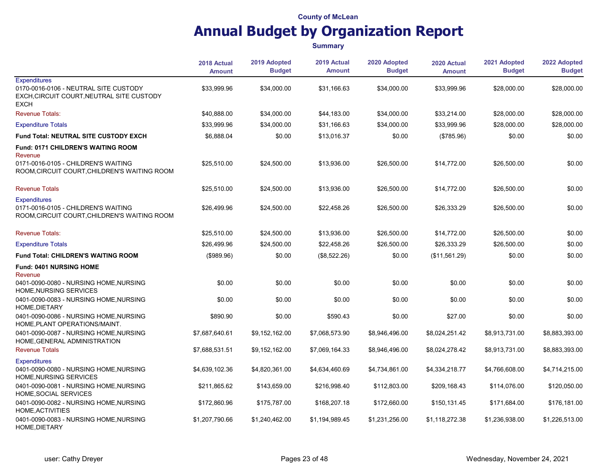|                                                                                                                          | 2018 Actual<br><b>Amount</b> | 2019 Adopted<br><b>Budget</b> | 2019 Actual<br><b>Amount</b> | 2020 Adopted<br><b>Budget</b> | 2020 Actual<br><b>Amount</b> | 2021 Adopted<br><b>Budget</b> | 2022 Adopted<br><b>Budget</b> |
|--------------------------------------------------------------------------------------------------------------------------|------------------------------|-------------------------------|------------------------------|-------------------------------|------------------------------|-------------------------------|-------------------------------|
| <b>Expenditures</b><br>0170-0016-0106 - NEUTRAL SITE CUSTODY<br>EXCH, CIRCUIT COURT, NEUTRAL SITE CUSTODY<br><b>EXCH</b> | \$33,999.96                  | \$34,000.00                   | \$31,166.63                  | \$34,000.00                   | \$33,999.96                  | \$28,000.00                   | \$28,000.00                   |
| <b>Revenue Totals:</b>                                                                                                   | \$40,888.00                  | \$34,000.00                   | \$44,183.00                  | \$34,000.00                   | \$33,214.00                  | \$28,000.00                   | \$28,000.00                   |
| <b>Expenditure Totals</b>                                                                                                | \$33,999.96                  | \$34,000.00                   | \$31,166.63                  | \$34,000.00                   | \$33,999.96                  | \$28,000.00                   | \$28,000.00                   |
| Fund Total: NEUTRAL SITE CUSTODY EXCH                                                                                    | \$6,888.04                   | \$0.00                        | \$13,016.37                  | \$0.00                        | (\$785.96)                   | \$0.00                        | \$0.00                        |
| <b>Fund: 0171 CHILDREN'S WAITING ROOM</b><br>Revenue<br>0171-0016-0105 - CHILDREN'S WAITING                              | \$25,510.00                  | \$24,500.00                   | \$13,936.00                  | \$26,500.00                   | \$14,772.00                  | \$26,500.00                   | \$0.00                        |
| ROOM, CIRCUIT COURT, CHILDREN'S WAITING ROOM                                                                             |                              |                               |                              |                               |                              |                               |                               |
| <b>Revenue Totals</b>                                                                                                    | \$25,510.00                  | \$24,500.00                   | \$13,936.00                  | \$26,500.00                   | \$14,772.00                  | \$26,500.00                   | \$0.00                        |
| <b>Expenditures</b><br>0171-0016-0105 - CHILDREN'S WAITING<br>ROOM, CIRCUIT COURT, CHILDREN'S WAITING ROOM               | \$26,499.96                  | \$24,500.00                   | \$22,458.26                  | \$26,500.00                   | \$26,333.29                  | \$26,500.00                   | \$0.00                        |
| <b>Revenue Totals:</b>                                                                                                   | \$25,510.00                  | \$24,500.00                   | \$13,936.00                  | \$26,500.00                   | \$14,772.00                  | \$26,500.00                   | \$0.00                        |
| <b>Expenditure Totals</b>                                                                                                | \$26,499.96                  | \$24,500.00                   | \$22,458.26                  | \$26,500.00                   | \$26,333.29                  | \$26,500.00                   | \$0.00                        |
| <b>Fund Total: CHILDREN'S WAITING ROOM</b>                                                                               | (\$989.96)                   | \$0.00                        | (\$8,522.26)                 | \$0.00                        | (\$11,561.29)                | \$0.00                        | \$0.00                        |
| Fund: 0401 NURSING HOME                                                                                                  |                              |                               |                              |                               |                              |                               |                               |
| Revenue<br>0401-0090-0080 - NURSING HOME, NURSING<br>HOME, NURSING SERVICES                                              | \$0.00                       | \$0.00                        | \$0.00                       | \$0.00                        | \$0.00                       | \$0.00                        | \$0.00                        |
| 0401-0090-0083 - NURSING HOME, NURSING<br>HOME, DIETARY                                                                  | \$0.00                       | \$0.00                        | \$0.00                       | \$0.00                        | \$0.00                       | \$0.00                        | \$0.00                        |
| 0401-0090-0086 - NURSING HOME, NURSING<br>HOME, PLANT OPERATIONS/MAINT.                                                  | \$890.90                     | \$0.00                        | \$590.43                     | \$0.00                        | \$27.00                      | \$0.00                        | \$0.00                        |
| 0401-0090-0087 - NURSING HOME, NURSING<br>HOME, GENERAL ADMINISTRATION                                                   | \$7,687,640.61               | \$9,152,162.00                | \$7,068,573.90               | \$8,946,496.00                | \$8,024,251.42               | \$8,913,731.00                | \$8,883,393.00                |
| <b>Revenue Totals</b>                                                                                                    | \$7,688,531.51               | \$9,152,162.00                | \$7,069,164.33               | \$8,946,496.00                | \$8,024,278.42               | \$8,913,731.00                | \$8,883,393.00                |
| <b>Expenditures</b><br>0401-0090-0080 - NURSING HOME, NURSING<br>HOME, NURSING SERVICES                                  | \$4,639,102.36               | \$4,820,361.00                | \$4,634,460.69               | \$4,734,861.00                | \$4,334,218.77               | \$4,766,608.00                | \$4,714,215.00                |
| 0401-0090-0081 - NURSING HOME, NURSING<br>HOME, SOCIAL SERVICES                                                          | \$211,865.62                 | \$143,659.00                  | \$216,998.40                 | \$112,803.00                  | \$209,168.43                 | \$114,076.00                  | \$120,050.00                  |
| 0401-0090-0082 - NURSING HOME, NURSING<br>HOME, ACTIVITIES                                                               | \$172,860.96                 | \$175,787.00                  | \$168,207.18                 | \$172,660.00                  | \$150,131.45                 | \$171,684.00                  | \$176,181.00                  |
| 0401-0090-0083 - NURSING HOME, NURSING<br>HOME, DIETARY                                                                  | \$1,207,790.66               | \$1,240,462.00                | \$1,194,989.45               | \$1,231,256.00                | \$1,118,272.38               | \$1,236,938.00                | \$1,226,513.00                |